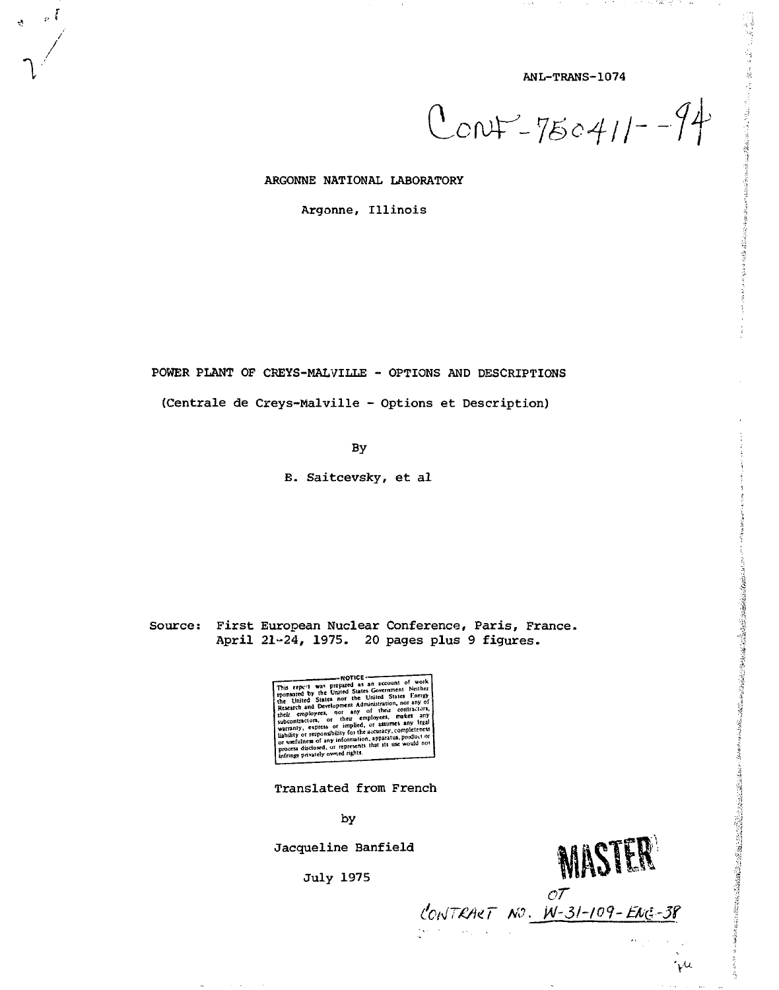ANL-TRANS-1074

. . .

**Second State State** 

(我們應用的分類,可以可能是

张鑫在2012年前的2020年12月18日,1992年12月20日,12月12日,12日,12日,12日,12日,12日,12日,12月12日,12月12日,12月12日,12日,12日,12日,12日

 $\cdot \mu$ 

 $Conv-750411-74$ 

ARGONNE NATIONAL LABORATORY

 $\mathbb{Z}_p$ 

Argonne, Illinois

POWER PLANT OF CREYS-MALVILLE - OPTIONS AND DESCRIPTIONS

(Centrale de Creys-Malville - Options et Description)

By

B. Saitcevsky, et al

Source: First European Nuclear Conference, Paris, France. April 21-24, 1975. 20 pages plus 9 figures.

This repeat was prepared as a Government of work<br>the space of the United State Internal and Covernment Netther<br>the United States near Administration, not any of<br>the United States near Administration, not any of<br>these cont

Translated from French

by

Jacqueline Banfield

**July 1975** 



CONTRACT NO. W-31-109-ENG-38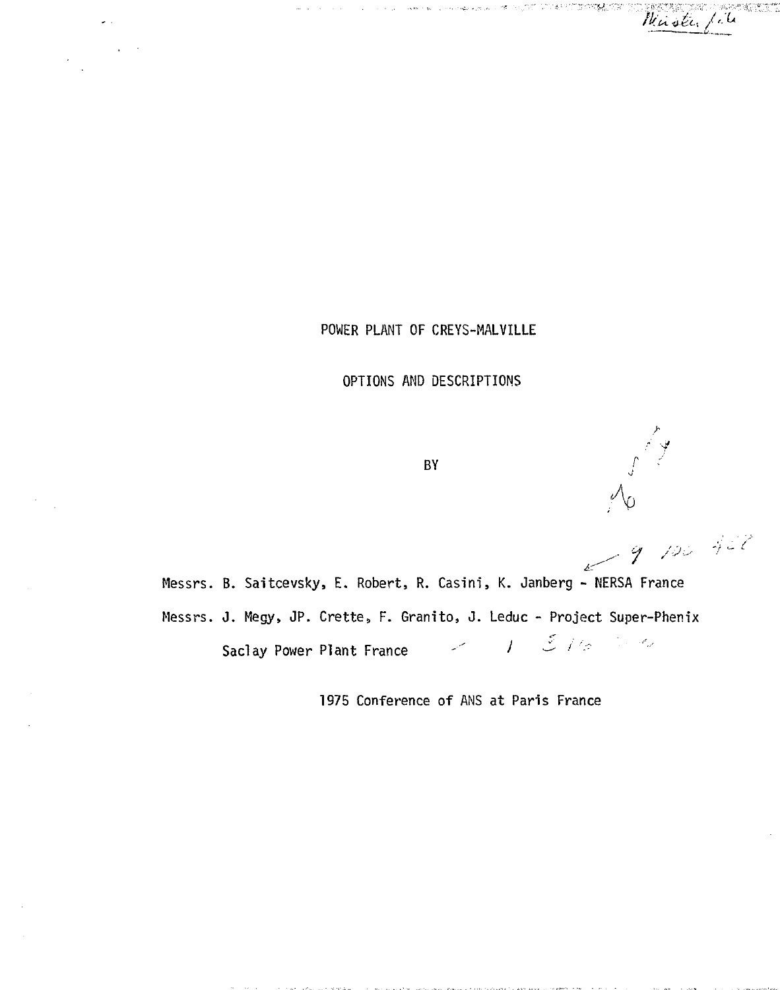Waster ماليما

بالمرادات

POWER PLANT OF CREYS-MALVILLE

OPTIONS AND DESCRIPTIONS

BY

9 100 422 Messrs. B. Saitcevsky, E. Robert, R. Casini, K. Janberg - NERSA France Messrs. J. Megy, JP. Crette, F. Granito, J. Leduc - Project Super-Phenix  $\Sigma$  //s  $\mathcal{L}^{\mathcal{A}}_{\mathcal{A}}$  , and  $\mathcal{L}^{\mathcal{A}}_{\mathcal{A}}$  $\prime$ Saclay Power Plant France

1975 Conference of ANS at Paris France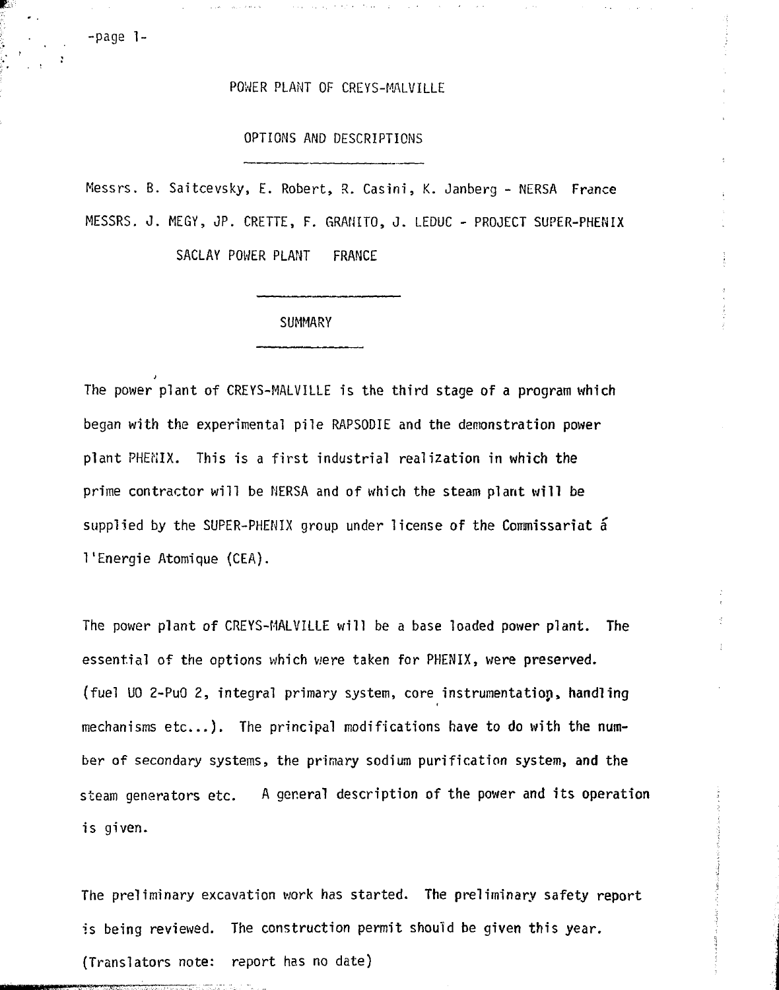### POWER PLANT OF CREYS-MALVILLE

#### OPTIONS AND DESCRIPTIONS

Messrs. B. Saitcevsky, E. Robert, R. Casini, K. Janberg - NERSA France MESSRS. J. MEGY, JP. CRETTE, F. GRAMITO, J. LEDUC - PROJECT SUPER-PHENIX

SACLAY POWER PLANT FRANCE

### **SUMMARY**

The power plant of CREYS-MALVILLE is the third stage of a program which began with the experimental pile RAPSODIE and the demonstration power plant PHENIX. This is a first industrial realization in which the prime contractor will be NERSA and of which the steam plant will be supplied by the SUPER-PHENIX group under license of the Commissariat a 1'Energie Atomique (CEA).

The power plant of CREYS-MALVILLE will be a base loaded power plant. The essential of the options which were taken for PHENIX, were preserved. (fuel UO 2-PuO 2, integral primary system, core instrumentatiop, handling mechanisms etc.) . The principal modifications have to do with the number of secondary systems, the primary sodium purification system, and the steam generators etc. A general description of the power and its operation is given.

The preliminary excavation work has started. The preliminary safety report is being reviewed. The construction permit should be given this year. {Translators note: report has no date)

-paga 1-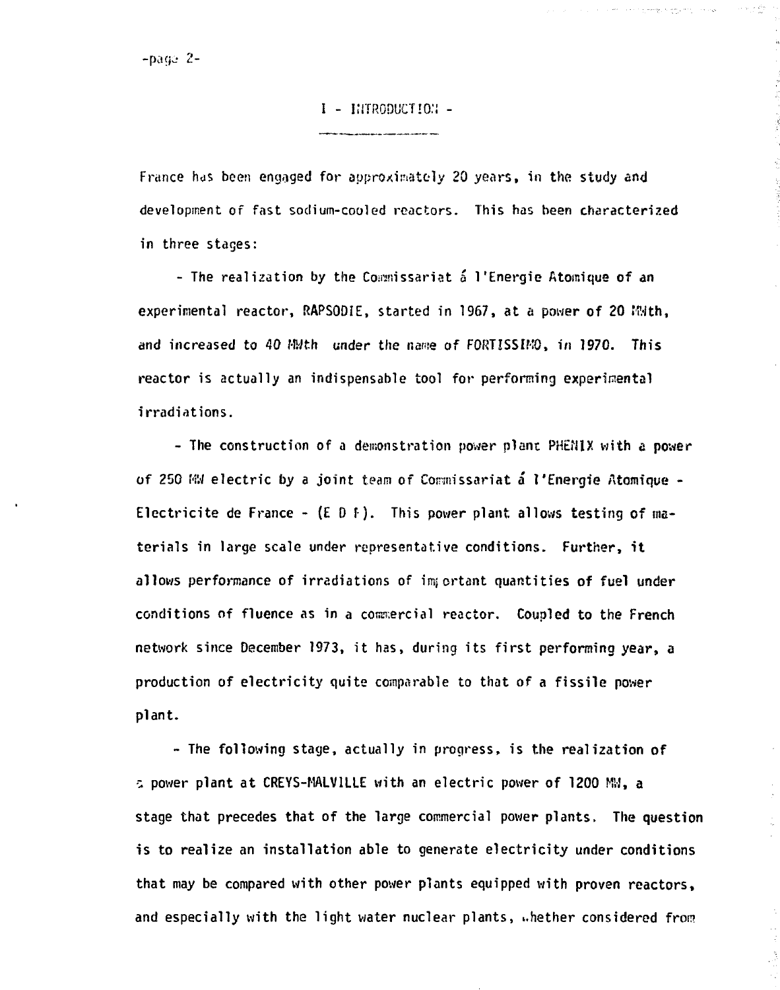# **I - KiTRGDUCT'O.'i -**

**France has been engaged for approximately 20 years, in the study and development of fast sodium-cooled reactors. This has been characterized in three stages:**

a a company to the set of the state of the state of the state of the state of the state of the state of the state of the state of the state of the state of the state of the state of the state of the state of the state of t

 $\frac{1}{6}$ 

ja<br>S

**- The realization by the Commissariat a l'Energie Atomique of an experimental reactor, RAPSODIE, started in 1967, at a power of 20 With, and increased to 40 MWth under the name of FORTISSIMO, in 1970. This reactor is actually an indispensable tool for performing experimental irradiations.**

**- The construction of a demonstration power plant PHtfJIX with a power of 250 MM electric by a joint team of Connissariat a l'Energie Atomique - Electricite de France -{E D f). This power plant allows testing of materials in large scale under representative conditions. Further, it allows performance of irradiations of important quantities of fuel under** conditions of fluence as in a commercial reactor. Coupled to the French **network since December 1973, it has, during its first performing year, a production of electricity quite comparable to that of a fissile power plant.**

**- The following stage, actually in progress, is the realization of -, power plant at CREYS-MALV1LLE with an electric power of 1200 Mil, a stage that precedes that of the large commercial power plants. The question is to realize an installation able to generate electricity under conditions that may be compared with other power plants equipped with proven reactors, and especially with the light water nuclear plants, ..hether considered fron?**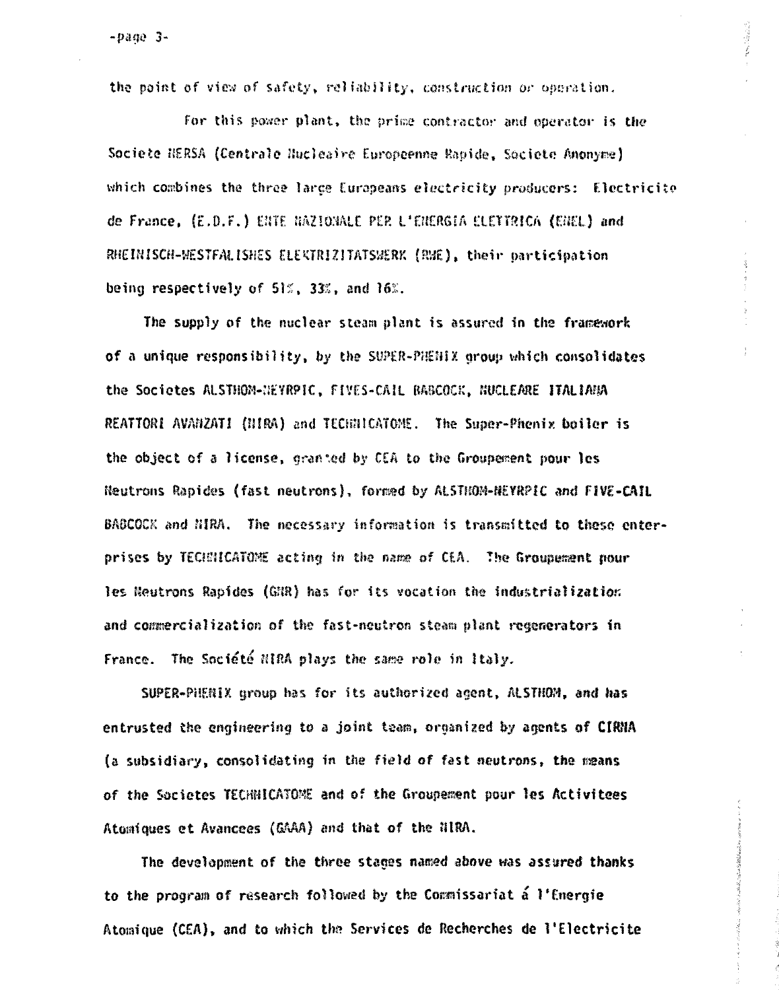$-$ pane  $3-$ 

the point of view of safety, reliability, construction or operation.

For this power plant, the prime contractor and operator is the Societe HERSA (Centrale Hucleaire Europeenne Rapide, Societe Anonyme) which combines the three large Europeans electricity producers: Electricite de France, (E.D.F.) ENTE NAZIONALE PER L'ENERGIA ELETTRICA (ENEL) and RHEINISCH-WESTFALISHES ELEKTRIZITATSWERK (RWE), their participation being respectively of 51%, 33%, and 16%.

 $\mathcal{W}^{\mathcal{A}}_{\mathcal{W}^{\mathcal{A}}_{\mathcal{A}}}$  is defined in

小学校の のうちょう あいこう

The supply of the nuclear steam plant is assured in the framework of a unique responsibility, by the SUPER-PHENIX group which consolidates the Societes ALSTHOM-NEYRPIC, FIVES-CAIL BABCOCK, NUCLEARE ITALIANA REATTORI AVANZATI (NIRA) and TECHNICATOME. The Super-Phenix boiler is the object of a license, granted by CEA to the Groupement pour les Neutrons Rapides (fast neutrons), formed by ALSTHOM-HEYRPIC and FIVE-CAIL BAGCOCK and NIRA. The necessary information is transmitted to these enterprises by TECHHICATOME acting in the name of CEA. The Groupement pour les Neutrons Rapides (GNR) has for its vocation the industrialization and commercialization of the fast-neutron steam plant regenerators in France. The Société NIRA plays the same role in Italy.

SUPER-PHENIX group has for its authorized agent, ALSTHOM, and has entrusted the engineering to a joint team, organized by agents of CIRNA (a subsidiary, consolidating in the field of fast neutrons, the means of the Societes TECHNICATOME and of the Groupement pour les Activitees Atomiques et Avancees (GAAA) and that of the HIRA.

The development of the three stages named above was assured thanks to the program of research followed by the Commissariat a l'Energie Atomique (CEA), and to which the Services de Recherches de l'Electricite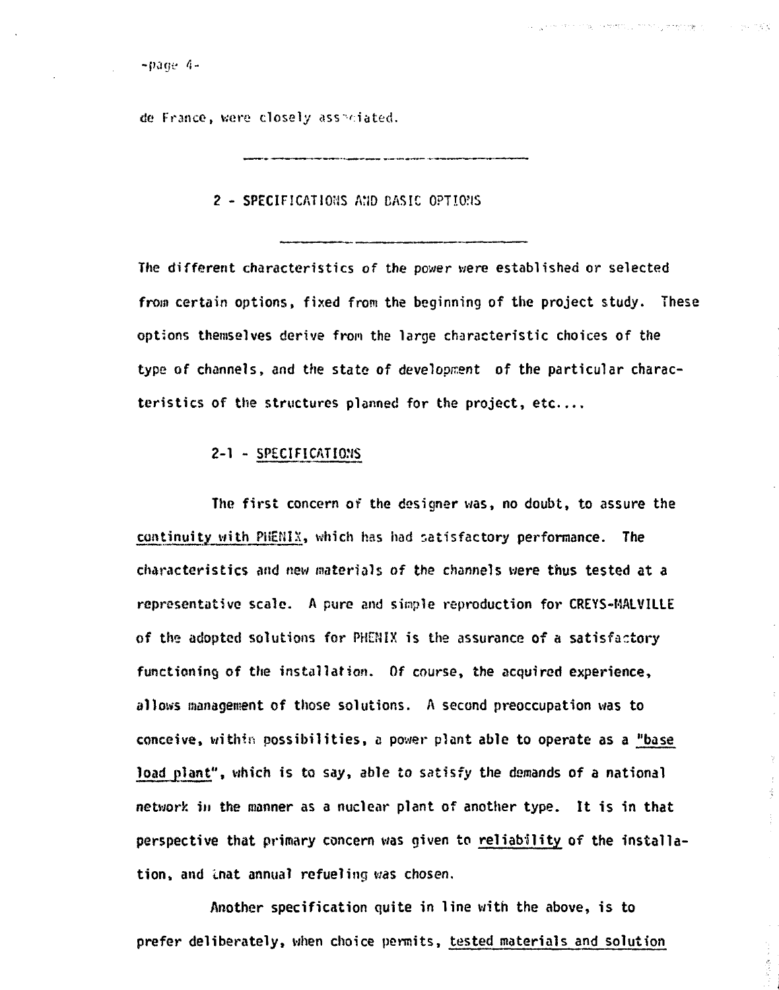计子 西北

 $-*page 4*$ -

de France, were closely ass<sup>s</sup>ciated.

#### **2 - SPECIFICATIONS AND BASIC OPTIONS**

**The different characteristics of the power were established or selected from certain options, fixed from the beginning of the project study. These options themselves derive from the large characteristic choices of the type of channels, and the state of development of the particular characteristics of the structures planned for the project, etc**

## **2" ] " SPECIFICATIONS**

**The first concern of the designer was, no doubt, to assure the co»tinuity uith PiiZHIS, which has had satisfactory performance. The characteristics and new materials of the channels were thus tested at a representative scale. A pure end simple reproduction for CREYS-MALVILLE of the adopted solutions for PtOIX is the assurance of a satisfactory functioning of the installation. Of course, the acquired experience, allows management of those solutions. A second preoccupation was to conceive, within possibilities, a power plant able to operate as a "base load plant", which is to say, able to satisfy the demands of a national network in the manner as a nuclear plant of another type. It is in that perspective that primary concern was given to reliability of the installation, and inat annual refueling was chosen.**

**Another specification quite in line with the above, is to prefer deliberately, when choice permits, tested materials and solution**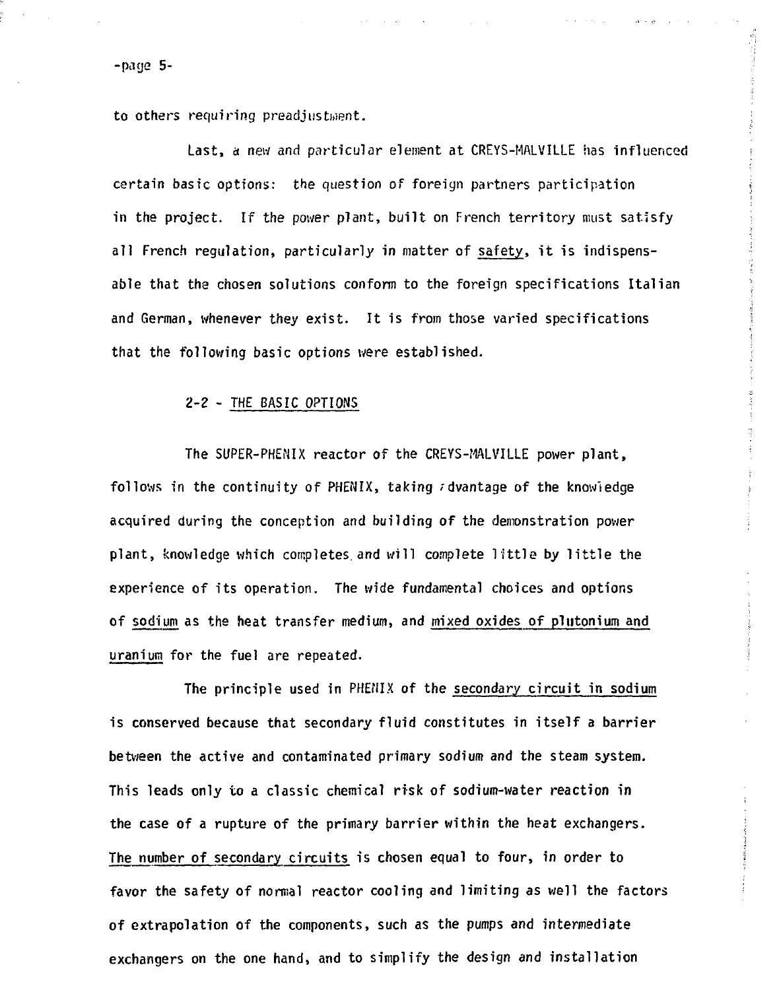-page 5-

to others requiring preadjustant.

Last, a new and particular element at CREYS-MALVILLE has influenced certain basic options: the question of foreign partners participation in the project. If the power plant, built on French territory must satisfy all French regulation, particularly in matter of safety, it is indispensable that the chosen solutions conform to the foreign specifications Italian and German, whenever they exist. It is from those varied specifications that the following basic options were established.

and street

the art of property of the con-

### 2-2 - THE BASIC OPTIONS

The SUPER-PHENIX reactor of the CREYS-MALVILLE power plant, follows in the continuity of PHENIX, taking  $\tau$  dvantage of the knowledge acquired during the conception and building of the demonstration power plant, knowledge which completes and will complete little by little the experience of its operation. The wide fundamental choices and options of sodium as the heat transfer medium, and mixed oxides of piutonium and uranium for the fuel are repeated.

The principle used in PHENIX of the secondary circuit in sodium is conserved because that secondary fluid constitutes in itself a barrier between the active and contaminated primary sodium and the steam system. This leads only to a classic chemical risk of sodium-water reaction in the case of a rupture of the primary barrier within the heat exchangers. The number of secondary circuits is chosen equal to four, in order to favor the safety of normal reactor cooling and limiting as well the factors of extrapolation of the components, such as the pumps and intermediate exchangers on the one hand, and to simplify the design and installation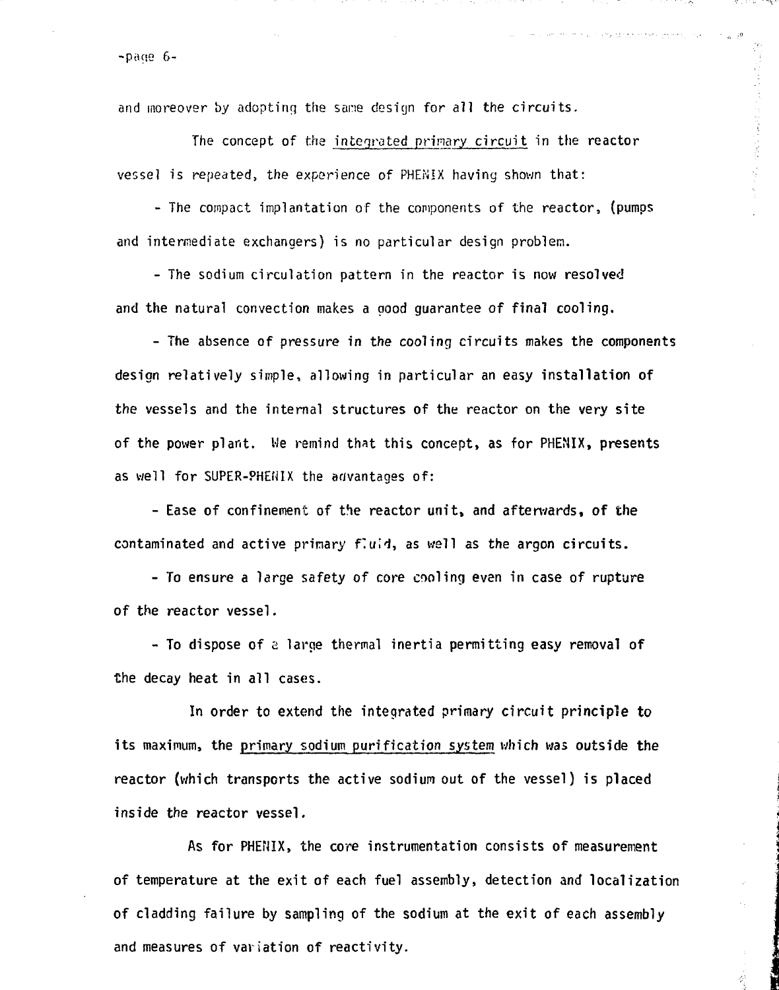-page 6-

and moreover by adopting the sane design for all the circuits.

The concept of the integrated primary circuit in the reactor vessel is repeated, the experience of PHENIX having shown that:

الواديات المستقيمات وسيقاد والمتعاطفة ومحرب والرابط المحاملين

 $\label{eq:2.1} \frac{1}{\sqrt{2}}\left(\frac{1}{\sqrt{2}}\right)^{2} \left(\frac{1}{\sqrt{2}}\right)^{2} \left(\frac{1}{\sqrt{2}}\right)^{2} \left(\frac{1}{\sqrt{2}}\right)^{2} \left(\frac{1}{\sqrt{2}}\right)^{2} \left(\frac{1}{\sqrt{2}}\right)^{2} \left(\frac{1}{\sqrt{2}}\right)^{2} \left(\frac{1}{\sqrt{2}}\right)^{2} \left(\frac{1}{\sqrt{2}}\right)^{2} \left(\frac{1}{\sqrt{2}}\right)^{2} \left(\frac{1}{\sqrt{2}}\right)^{2} \left(\$ 

Ź

- The compact implantation of the components of the reactor, (pumps and intermediate exchangers) is no particular design problem.

- The sodium circulation pattern in the reactor is now resolved and the natural convection makes a oood guarantee of final cooling.

- The absence of pressure in the cooling circuits makes the components design relatively simple, allowing in particular an easy installation of the vessels and the internal structures of the reactor on the very site of the power plant. We remind that this concept, as for PHENIX, presents as well for SUPER-PHENIX the advantages of:

- Ease of confinement of the reactor unit, and afterwards, of the contaminated and active primary fluid, as well as the argon circuits.

- To ensure a large safety of core cooling even in case of rupture of the reactor vessel.

- To dispose of a large thermal inertia permitting easy removal of the decay heat in all cases.

In order to extend the integrated primary circuit principle to its maximum, the primary sodium purification system which was outside the reactor (which transports the active sodium out of the vessel) is placed inside the reactor vessel.

As for PHENIX, the core instrumentation consists of measurement of temperature at the exit of each fuel assembly, detection and localization of cladding failure by sampling of the sodium at the exit of each assembly and measures of variation of reactivity.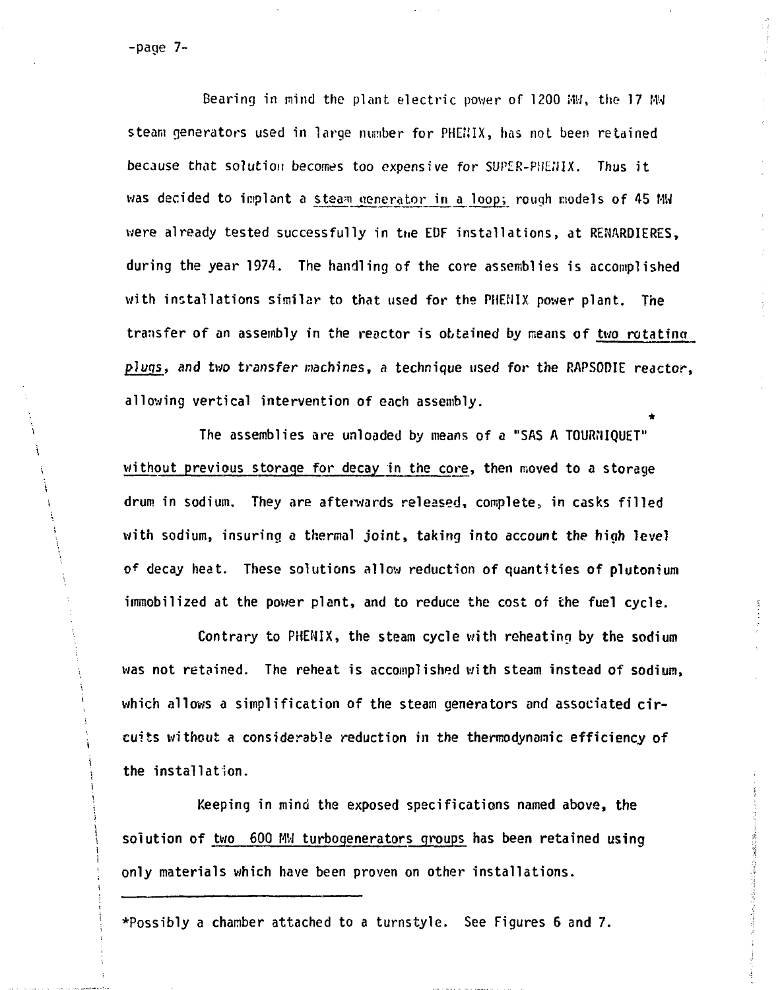**-page 7-**

i

**Bearing in mind the plant electric power of 1200 MW, the 17 MW steam generators used in large number for PHE'JIX, has not been retained because that solution becomes too expensive for SUPER-PHEJ11X. Thus it was decided to implant a steam generator in a loop; rough models of 45 MM were already tested successfully in the EDF installations, at REfWRDIERES, during the year 1974. The handling of the core assemblies is accomplished with installations similar to that used for the PHENIX power plant. The transfer of an assembly in the reactor is obtained by means of two rotating plugs, and two transfer machines, a technique used for the RAPSOOIE reactor, allowing vertical intervention of each assembly.**

**\*** without previous storage for decay in the core, then moved to a storage drum in sodium. They are afterwards released, complete, in casks filled with sodium, insuring a thermal joint, taking into account the high level of decay heat. These solutions allow reduction of quantities of plutonium immobilized at the power plant, and to reduce the cost of the fuel cycle. **<sup>f</sup> decay heat. These solutions allow reduction of quantities of plutonium**

Contrary to PHENIX, the steam cycle with reheating by the sodium

solution of two 600 MW turbogenerators groups has been retained using **i solution of two 600 M',-1 turbogenerators groups has been retained using** only materials which have been proven on other installations.

**Superintent** 

**\*Possibly a chamber attached to a turnstyle. See Figures 6 and 7.**

**only materials which have been proven on other installations.**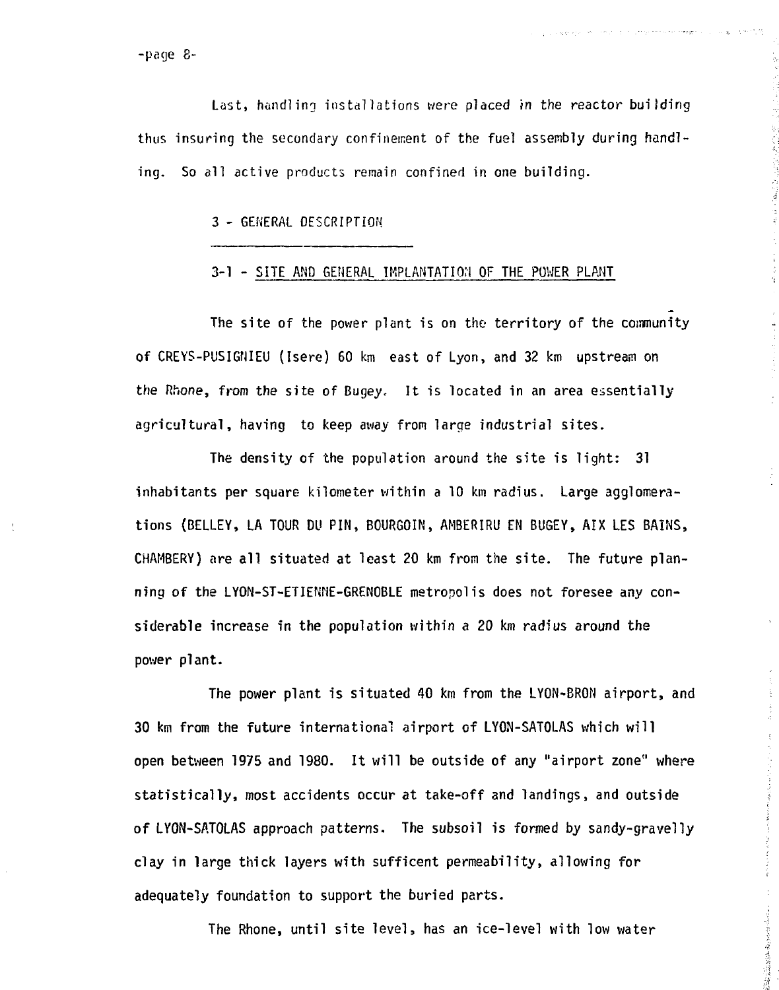-parje 8-

Last, handling installations were placed in the reactor building thus insuring the secondary confinement of the fuel assembly during handling. So all active products remain confined in one building.

3 - GENERAL DESCRIPTION

## 3-1 - SITE AND GENERAL IMPLANTATION OF THE POWER PLANT

The site of the power plant is on the territory of the community of CREYS-PUSIGNIEU (Isere) 60 km east of Lyon, and 32 km upstream on the Rhone, from the site of Bugey, It is located in an area essentially agricultural, having to keep away from large industrial sites.

The density of the population around the site is light: 31 inhabitants per square kilometer within a 10 km radius. Large agglomerations (BELLEY, LA TOUR DU PIN, BOURGOIN, AMBERIRU EN BUGEY, AIX LES BAINS, CHAMBERY) are all situated at least 20 km from the site. The future planning of the LYON-ST-ETIENNE-GRENOBLE metropolis does not foresee any considerable increase in the population within a 20 km radius around the power plant.

The power plant is situated 40 km from the LYON-BRON airport, and 30 km from the future international airport of LYON-SATOLAS which wil l open between 1975 and 1980. It will be outside of any "airport zone" where statistically, most accidents occur at take-off and landings, and outside of LYON-SATOLAS approach patterns. The subsoil is formed by sandy-gravelly clay in large thick layers with sufficent permeability, allowing for adequately foundation to support the buried parts.

The Rhone, until site level, has an ice-level with low water

一、今日の中でもの中国語の深い情報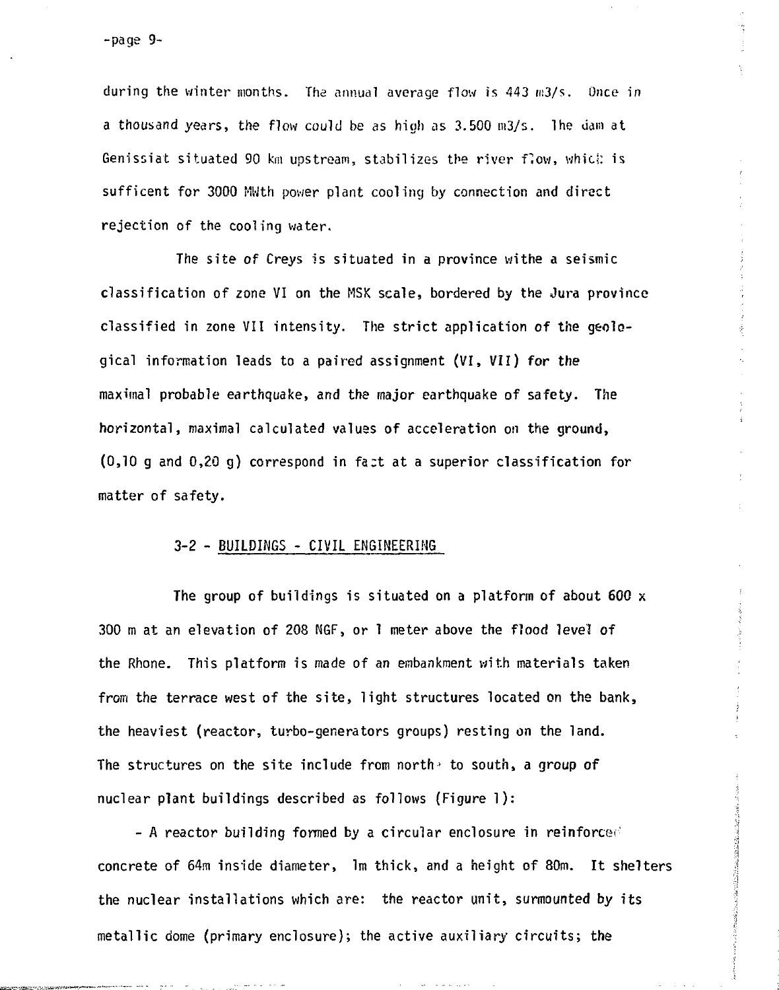during the winter months. The annual average flow is 443 m3/s. Once in a thousand years, the flow could be as high as 3.500 m3/s. The dam at Genissiat situated 90 km upstream, stabilizes the river flow, whicl: is sufficent for 3000 MWth power plant cooling by connection and direct rejection of the cooling water.

The site of Creys is situated in a province withe a seismic classification of zone VI on the MSK scale, bordered by the Jura province classified in zone VII intensity. The strict application of the geological information leads to a paired assignment (VI, VII) for the maximal probable earthquake, and the major earthquake of safety. The horizontal, maximal calculated values of acceleration on the ground,  $(0,10 \text{ g}$  and  $0,20 \text{ g})$  correspond in fact at a superior classification for matter of safety.

#### 3-2 - BUILDINGS - CIVIL ENGINEERING

The group of buildings is situated on a platform of about 600  $\times$ 300 m at an elevation of 208 NGF, or 1 meter above the flood level of the Rhone. This platform is made of an embankment with materials taken from the terrace west of the site, light structures located on the bank, the heaviest (reactor, turbo-generators groups) resting on the land. The structures on the site include from north to south, a group of nuclear plant buildings described as follows (Figure 1) :

- A reactor building formed by a circular enclosure in reinforce'' concrete of 64m inside diameter, 1m thick, and a height of 80m. It shelters the nuclear installations which are: the reactor unit, surmounted by its metallic dome (primary enclosure); the active auxiliary circuits; the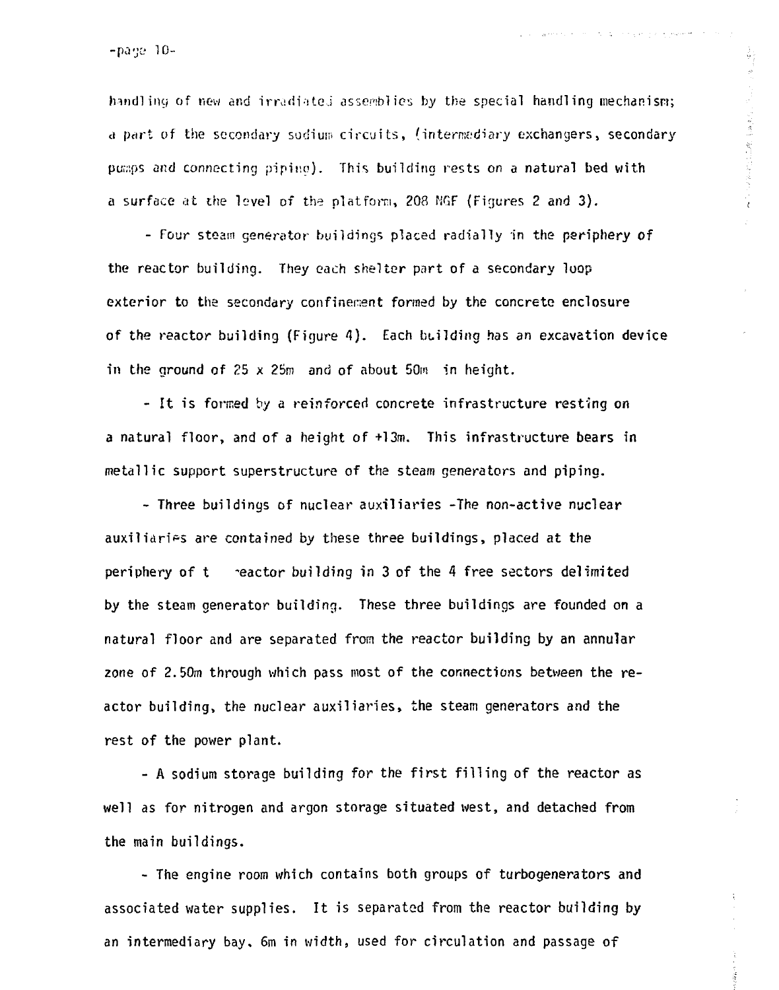$-p\text{age }10-$ 

handling of new and irradiated assemblies by the special handling mechanism; a part of the secondary sodium circuits, (intermediary exchangers, secondary pumps and connecting pipino)- This building rests on a natural bed with a surface at the level of the platform, 208 NGF (Figures 2 and 3).

医自动性皮质炎 葡萄球菌素医学家

solidad in the con-

- Four steam generator buildings placed radially in the periphery of the reactor building. They each shelter part of a secondary loop exterior to the secondary confinement formed by the concrete enclosure of the reactor building (Figure 4). Each building has an excavation device in the ground of  $25 \times 25m$  and of about  $50m$  in height.

- It is formed by a reinforced concrete infrastructure resting on a natural floor, and of a height of +13m. This infrastructure bears in metallic support superstructure of the steam generators and piping.

- Three buildings of nuclear auxiliaries -The non-active nuclear auxiliaries are contained by these three buildings, placed at the periphery of  $t$  reactor building in 3 of the 4 free sectors delimited by the steam generator building. These three buildings are founded on a natural floor and are separated from the reactor building by an annular zone of 2.50m through which pass most of the connections between the reactor building, the nuclear auxiliaries, the steam generators and the rest of the power plant.

- A sodium storage building for the first filling of the reactor as well as for nitrogen and argon storage situated west, and detached from the main buildings.

- The engine room which contains both groups of turbogenerators and associated water supplies. It is separated from the reactor building by an intermediary bay. 6m in width, used for circulation and passage of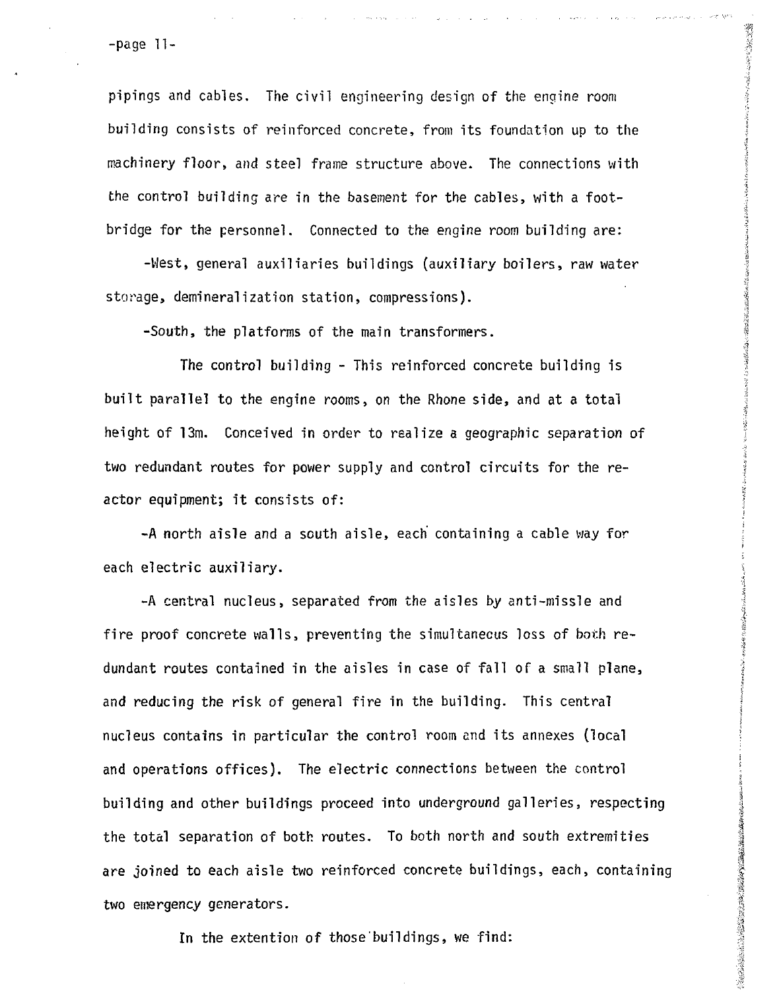-page 11-

pipings and cables. The civil engineering design of the engine room building consists of reinforced concrete, from its foundation up to the machinery floor, and steel frame structure above. The connections with the control building are in the basement for the cables, with a footbridge for the personnel. Connected to the engine room building are:

おおかい あいこう こうこうこう こうきょう

このことのことに、これは「このこののことのことに、「「このことのことに、「このことに、「このことに、「このことに、「このことに、「このことに、「このことに、「このことに、「このことに、「このことに、「

2008年3月前の大学のこの世界のことに、その世界のことに、その世界の

-West, general auxiliaries buildings (auxiliary boilers, raw water storage, demineralization station, compressions).

-South, the platforms of the main transformers.

The control building - This reinforced concrete building is built parallel to the engine rooms, on the Rhone side, and at a total height of 13m. Conceived in order to realize a geographic separation of two redundant routes for power supply and control circuits for the reactor equipment; it consists of:

-A north aisle and a south aisle, each containing a cable way for each electric auxiliary.

-A central nucleus, separated from the aisles by anti-missle and fire proof concrete walls, preventing the simultaneous loss of both redundant routes contained in the aisles in case of fall of a small plane, and reducing the risk of general fire in the building. This central nucleus contains in particular the control room and its annexes (local and operations offices). The electric connections between the control building and other buildings proceed into underground galleries, respecting the total separation of both routes. To both north and south extremities are joined to each aisle two reinforced concrete buildings, each, containing two emergency generators.

In the extention of those buildings, we find: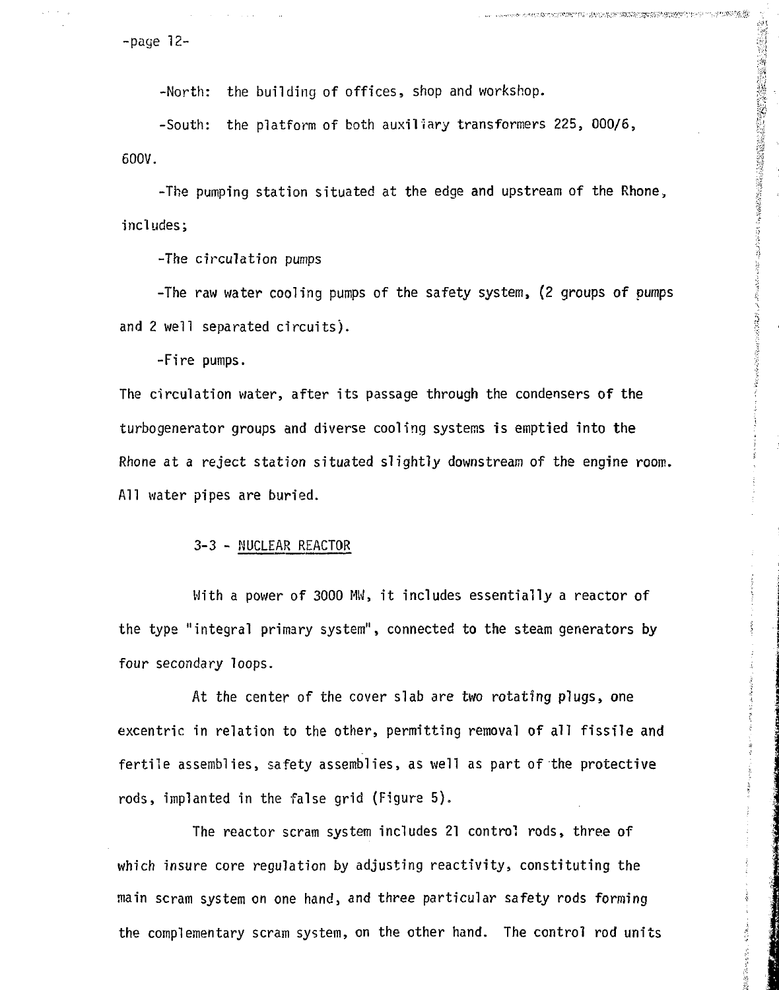-page 12-

-North: the building of offices, shop and workshop.

-South: the platform of both auxiliary transformers 225, 000/6, 600V.

-The pumping station situated at the edge and upstream of the Rhone, includes;

「地震」は、「地震」は、「地震」の「地震」の「地震」の「地震」ということをしていることです。そのことです。 こうしょう こうしょう こうしょう こうしょう こうしょう こうしょう こうしょう こうしょう こうしょう こうしょう こうしょう こうしょう

**2000年11月11日,1月1日,1月1日,1月1日,1月1日,1月1日** 

-The circulation pumps

-The raw water cooling pumps of the safety system, (2 groups of pumps and 2 well separated circuits).

-Fire pumps.

The circulation water, after its passage through the condensers of the turbogenerator groups and diverse cooling systems is emptied into the Rhone at a reject station situated slightly downstream of the engine room. All water pipes are buried.

### 3-3 - NUCLEAR REACTOR

With a power of 3000 MW, it includes essentially a reactor of the type "integral primary system", connected to the steam generators by four secondary loops.

At the center of the cover slab are two rotating plugs, one excentric in relation to the other, permitting removal of all fissile and fertile assemblies, safety assemblies, as well as part of the protective rods, implanted in the false grid (Figure 5).

The reactor scram system includes 21 control rods, three of which insure core regulation by adjusting reactivity, constituting the main scram system on one hand, and three particular safety rods forming the complementary scram system, on the other hand. The control rod units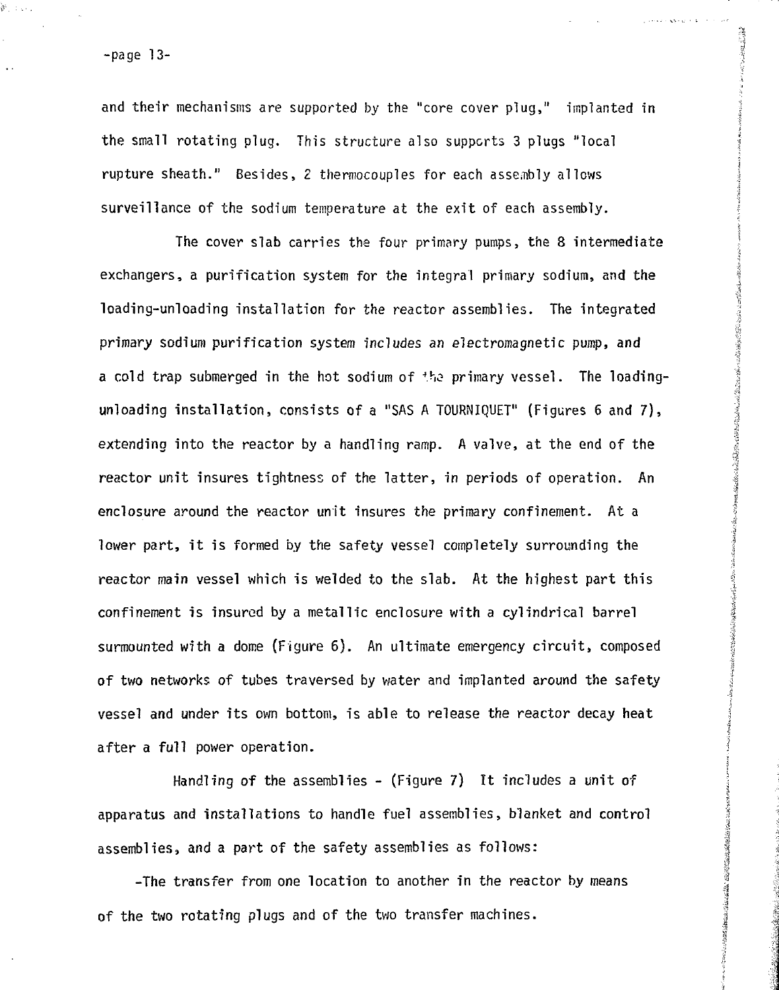s.<br>Serikan

and their mechanisms are supported by the "core cover plug," implanted in the small rotating plug. This structure also supports 3 plugs "local rupture sheath." Besides, 2 thermocouples for each assembly allows surveillance of the sodium temperature at the exit of each assembly.

The cover slab carries the four primary pumps, the 8 intermediate exchangers, a purification system for the integral primary sodium, and the loading-unloading installation for the reactor assemblies. The integrated primary sodium purification system includes an electromagnetic pump, and a cold trap submerged in the hot sodium of the primary vessel. The loadingunloading installation, consists of a "SAS A TOURNIQUET" (Figures 6 and 7) , extending into the reactor by a handling ramp. A valve, at the end of the reactor unit insures tightness of the latter, in periods of operation. An enclosure around the reactor unit insures the primary confinement. At a lower part, it is formed by the safety vessel completely surrounding the reactor main vessel which is welded to the slab. At the highest part this confinement is insured by a metallic enclosure with a cylindrical barrel surmounted with a dome (Figure  $6$ ). An ultimate emergency circuit, composed of two networks of tubes traversed by water and implanted around the safety | vessel and under its own bottom, is able to release the reactor decay heat \ after a full power operation.

,:i

**Construction** 

I

A

 $\frac{3}{2}$ 

**I**

Handling of the assemblies  $-$  (Figure 7) It includes a unit of apparatus and installations to handle fuel assemblies, blanket and control assemblies, and a part of the safety assemblies as follows:

-The transfer from one location to another in the reactor by means of the two rotating plugs and of the two transfer machines.

 $\frac{2}{3}$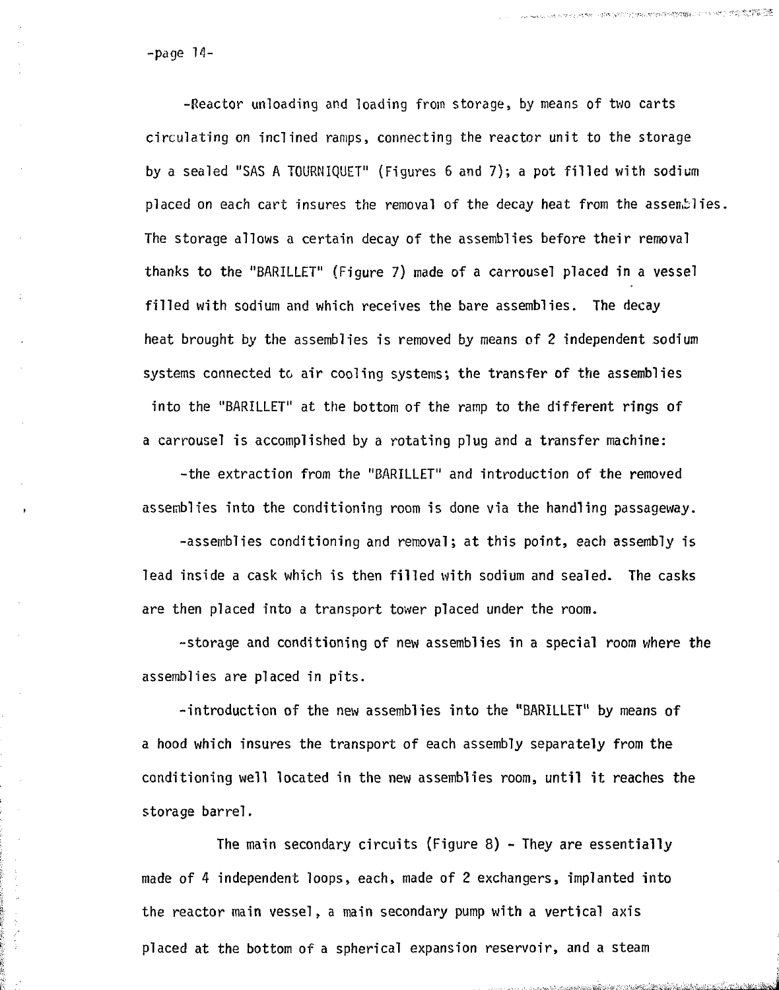-page 14-

-Reactor unloading and loading from storage, by means of two carts circulating on inclined ramps, connecting the reactor unit to the storage by a sealed "SAS A TOURNIQUET" (Figures 6 and 7); a pot filled with sodium placed on each cart insures the removal of the decay heat from the assemblies. The storage allows a certain decay of the assemblies before their removal thanks to the "BARILLET" (Figure 7) made of a carrousel placed in a vessel filled with sodium and which receives the bare assemblies. The decay heat brought by the assemblies is removed by means of 2 independent sodium systems connected to air cooling systems; the transfer of the assemblies into the "BARILLET" at the bottom of the ramp to the different rings of a carrousel is accomplished by a rotating plug and a transfer machine:

-the extraction from the "BARILLET" and introduction of the removed assemblies into the conditioning room is done via the handling passageway.

-assemblies conditioning and removal; at this point, each assembly is lead inside a cask which is then filled with sodium and sealed. The casks are then placed into a transport tower placed under the room.

-storage and conditioning of new assemblies in a special room where the assemblies are placed in pits.

-introduction of the new assemblies into the "BARILLET" by means of a hood which insures the transport of each assembly separately from the conditioning well located in the new assemblies room, until it reaches the storage barrel.

The main secondary circuits (Figure 8) - They are essentially made of 4 independent loops, each, made of 2 exchangers, implanted into the reactor main vessel, a main secondary pump with a vertical axis placed at the bottom of a spherical expansion reservoir, and a steam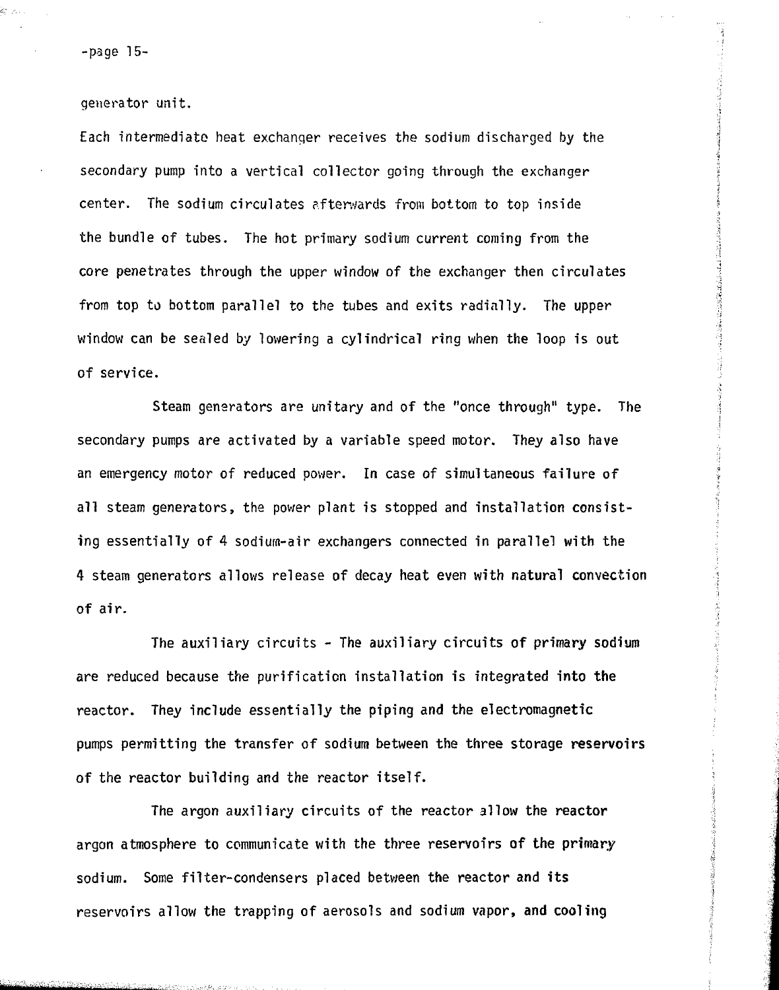-page 15-

kristi

generator unit.

Each intermediate heat exchanger receives the sodium discharged by the secondary pump into a vertical collector going through the exchanger center. The sodium circulates afterwards from bottom to top inside the bundle of tubes. The hot primary sodium current coming from the core penetrates through the upper window of the exchanger then circulates from top to bottom parallel to the tubes and exits radially. The upper window can be sealed by lowering a cylindrical ring when the loop is out of service.

Steam generators are unitary and of the "once through" type. The secondary pumps are activated by a variable speed motor. They also have an emergency motor of reduced power. In case of simultaneous failure of all steam generators, the power plant is stopped and installation consisting essentially of 4 sodium-air exchangers connected in parallel with the 4 steam generators allows release of decay heat even with natural convection of air.

The auxiliary circuits - The auxiliary circuits of primary sodium are reduced because the purification installation is integrated into the reactor. They include essentially the piping and the electromagnetic pumps permitting the transfer of sodium between the three storage reservoirs of the reactor building and the reactor itself.

The argon auxiliary circuits of the reactor allow the reactor argon atmosphere to communicate with the three reservoirs of the primary sodium. Some filter-condensers placed between the reactor and its reservoirs allow the trapping of aerosols and sodium vapor, and cooling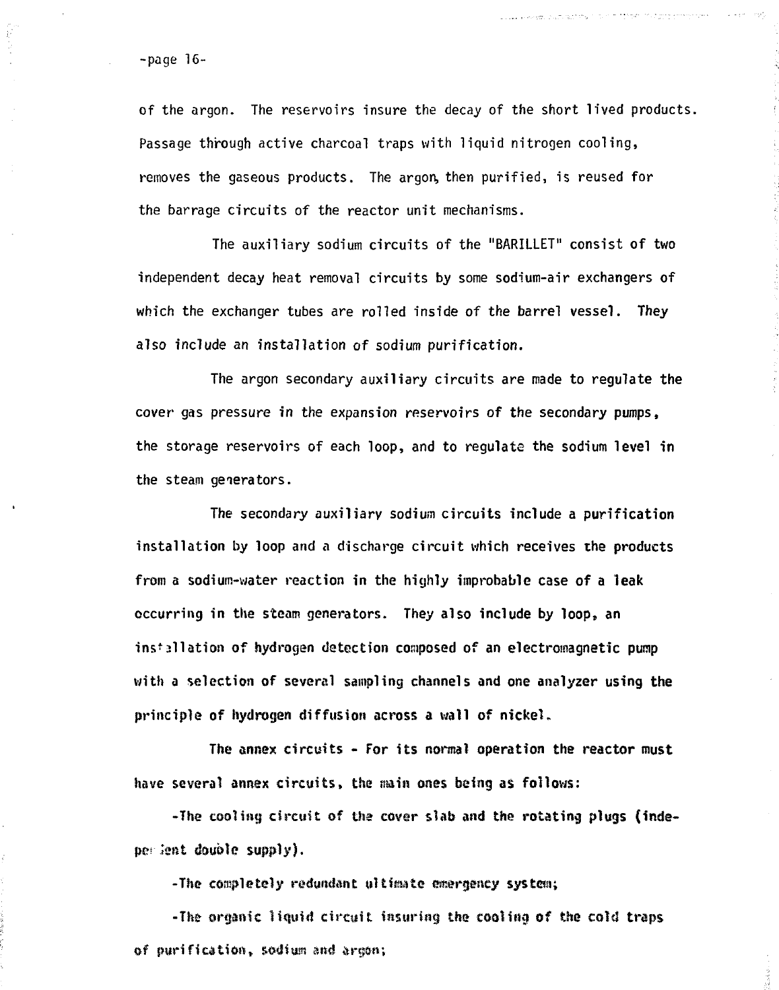-page 16-

以外部

of the argon. The reservoirs insure the decay of the short lived products. Passage through active charcoal traps with liquid nitrogen cooling, removes the gaseous products. The argon, then purified, is reused for the barrage circuits of the reactor unit mechanisms.

.<br>Louis e exposições de la presidente de communicações de consequentes presidentes de consequentes de consequent

بتعاليب  $\sim \sqrt{\epsilon}$ 

The auxiliary sodium circuits of the "BARILLET" consist of two independent decay heat removal circuits by some sodium-air exchangers of which the exchanger tubes are rolled inside of the barrel vessel. They also include an installation of sodium purification.

The argon secondary auxiliary circuits are made to regulate the cover gas pressure in the expansion reservoirs of the secondary pumps, the storage reservoirs of each loop, and to regulate the sodium level in the steam generators.

The secondary auxiliary sodium circuits include a purification installation by loop and a discharge circuit which receives the products from a sodium-water reaction in the highly improbable case of a leak occurring in the steam generators. They also include by loop, an installation of hydrogen detection composed of an electromagnetic pump with a selection of several sampling channels and one analyzer using the principle of hydrogen diffusion across a wall of nickel.

The annex circuits - For its normal operation the reactor must have several annex circuits, the main ones being as follows:

-The cooling circuit of the cover slab and the rotating plugs (indeper lent double supply).

-The completely refundsne ultimate emergency system;

-The organic liquid circuit insuring the cooling of the cold traps of purification, sodium and armon;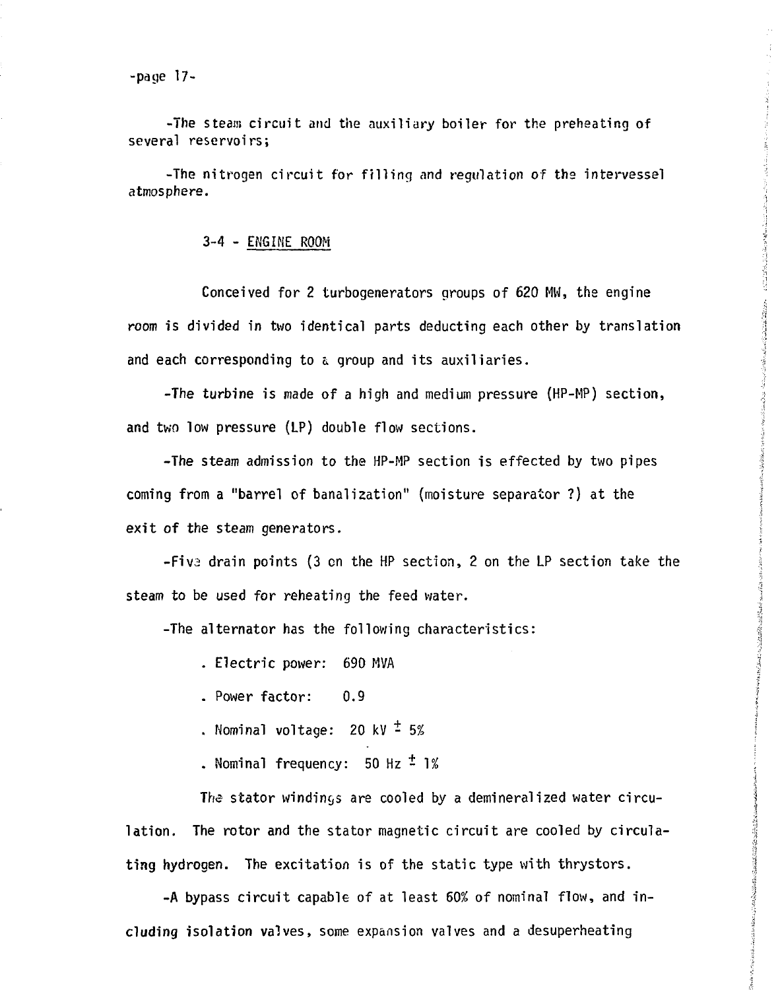2月2日,1939年开展在建设2012年发展中国的"农政团团团",在国际国际网站的区域发展的区域中,特性团体的区别。  $\label{eq:constr} \frac{1}{2}\frac{1}{2}\left(\frac{1}{2}\frac{1}{2}\right)^2-\frac{1}{2}\left(\frac{1}{2}\frac{1}{2}\frac{1}{2}\frac{1}{2}\frac{1}{2}\frac{1}{2}\frac{1}{2}\frac{1}{2}\frac{1}{2}\frac{1}{2}\frac{1}{2}\frac{1}{2}\frac{1}{2}\frac{1}{2}\frac{1}{2}\frac{1}{2}\frac{1}{2}\frac{1}{2}\frac{1}{2}\frac{1}{2}\frac{1}{2}\frac{1}{2}\frac{1}{2}\frac{1}{2}\frac{1}{2}\frac{1}{2}\frac{1}{2}\frac{1}{2}\frac{1}{2$ Android State State of the State of the Control of the Control of the Control of the Control of the Control of

-page 17-

-The steam circuit and the auxiliary boiler for the preheating of several reservoirs;

-The nitrogen circuit for filling and regulation of the intervessel atmosphere.

3-4 - ENGINE ROOM

Conceived for 2 turbogenerators groups of 620 MW, the engine room is divided in two identical parts deducting each other by translation and each corresponding to a, group and its auxiliaries.

-The turbine is made of a high and medium pressure (HP-MP) section, and two low pressure (LP) double flow sections.

-The steam admission to the HP-MP section is effected by two pipes coming from a "barrel of banalization" (moisture separator ?) at the exit of the steam generators.

-Fiv2 drain points (3 en the HP section, 2 on the LP section take the steam to be used for reheating the feed water.

-The alternator has the following characteristics:

. Electric power: 690 MVA

. Power factor: 0.9

. Nominal voltage: 20 kV  $\frac{1}{2}$  5%

. Nominal frequency:  $50$  Hz  $\pm$  1%

The stator windings are cooled by a demineralized water circulation. The rotor and the stator magnetic circuit are cooled by circulating hydrogen. The excitation is of the static type with thrystors.

-A bypass circuit capable of at least 60% of nominal flow, and including isolation valves, some expansion valves and a desuperheating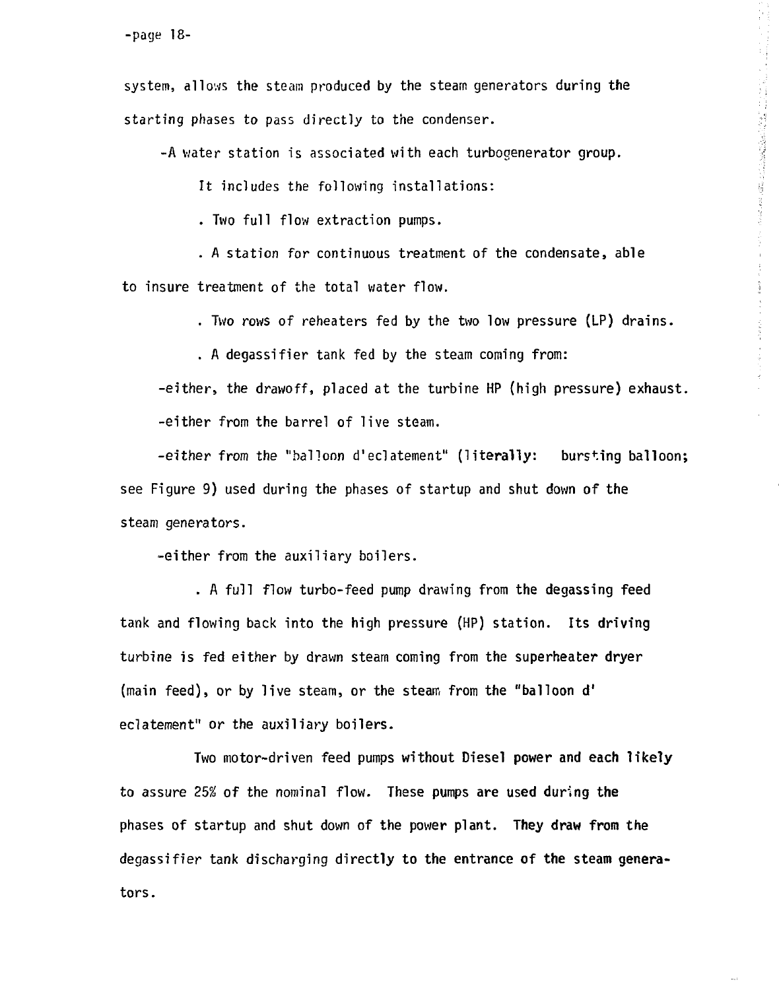system, allows the steam produced by the steam generators during the starting phases to pass directly to the condenser.

-A water station is associated with each turbogenerator group.

It includes the following installations:

. Two full flow extraction pumps.

. A station for continuous treatment of the condensate, able to insure treatment of the total water flow.

. Two rows of reheaters fed by the two low pressure (LP) drains.

 $\frac{1}{2} \sum_{i=1}^{n} \frac{1}{2} \sum_{j=1}^{n} \frac{1}{2} \sum_{j=1}^{n} \frac{1}{2} \sum_{j=1}^{n} \frac{1}{2} \sum_{j=1}^{n} \frac{1}{2} \sum_{j=1}^{n} \frac{1}{2} \sum_{j=1}^{n} \frac{1}{2} \sum_{j=1}^{n} \frac{1}{2} \sum_{j=1}^{n} \frac{1}{2} \sum_{j=1}^{n} \frac{1}{2} \sum_{j=1}^{n} \frac{1}{2} \sum_{j=1}^{n} \frac{1}{2} \sum_{j=1}^{n$ 

 $\frac{1}{2}$  and  $\frac{1}{2}$  ,  $\frac{1}{2}$  ,  $\frac{1}{2}$ 

医皮质 化乙基苯并甲基苯基苯基苯

 $\sim 10$ 

. A degassifier tank fed by the steam coming from:

-either, the drawoff, placed at the turbine HP (high pressure) exhaust, -either from the barrel of live steam.

-either from the "balloon d'eclatement" (literally: bursting balloon; see Figure 9) used during the phases of startup and shut down of the steam generators.

-either from the auxiliary boilers.

. A full flow turbo-feed pump drawing from the degassing feed tank and flowing back into the high pressure (HP) station. Its driving turbine is fed either by drawn steam coming from the **superheater dryer** (main feed), or by live steam, or the steam from the "balloon d' eclatement" or the auxiliary boilers.

Two motor-driven feed pumps without Diesel **power and each likely** to assure 25^ of the nominal flow. These pumps are used during **the** phases of startup and shut down of the power plant. **They draw from** the degassifier tank discharging directly to the entrance of **the** steam generators.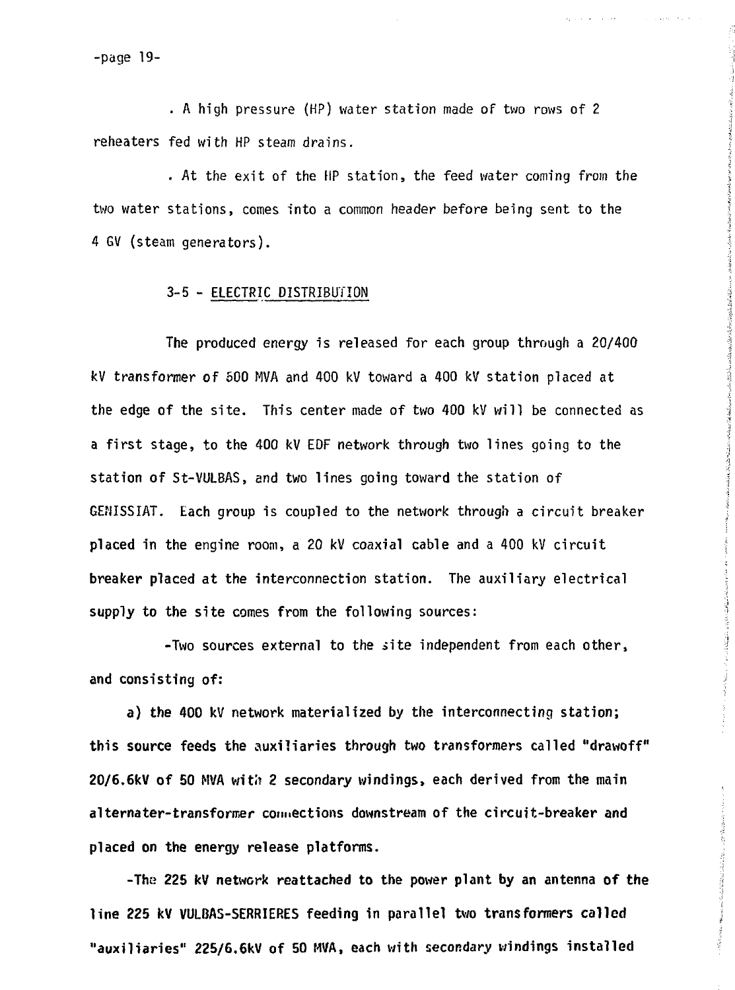-page 19-

. A high pressure (HP) water station made of two rows of 2 reheaters fed with HP steam drains.

. At the exit of the HP station, the feed water coming from the two water stations, comes into a common header before being sent to the 4 GV (steam generators).

## 3-5 - ELECTRIC DISTRIBUTION

The produced energy is released for each group through a 20/400 kV transformer **of** 500 MVA and 400 kV toward a 400 kV station placed at the edge **of** the site. This center made of two 400 kV will be connected as a first stage, to the 400 kV EDF network through two lines going to the station **of** St-VULBAS, and two lines going toward the station of GENISSIAT. Each group is coupled to the network through a circuit breaker **placed in the** engine room, a 20 kV coaxial cable and a 400 kV circuit **breaker placed at the** interconnection station. The auxiliary electrical **supply to the site comes from the following sources:**

**-Two sources external to** the .site independent from each **other, and consisting of:**

**a) the 400 kV network materialized by the interconnecting station; this source feeds the auxiliaries through two transformers called "drawoff" 20/6.6kV of 50 MVA with 2 secondary windings, each derived from the main alternater-transformer connections downstream of the circuit-breaker and placed on the energy release platforms.**

**-The 225 kV network reattached to the power plant by an antenna of the line 225 kV VULBAS-SERRIERES feeding in parallel two transformers called "auxiliaries" 225/6.6kV of 50 MVA, each with secondary windings installed**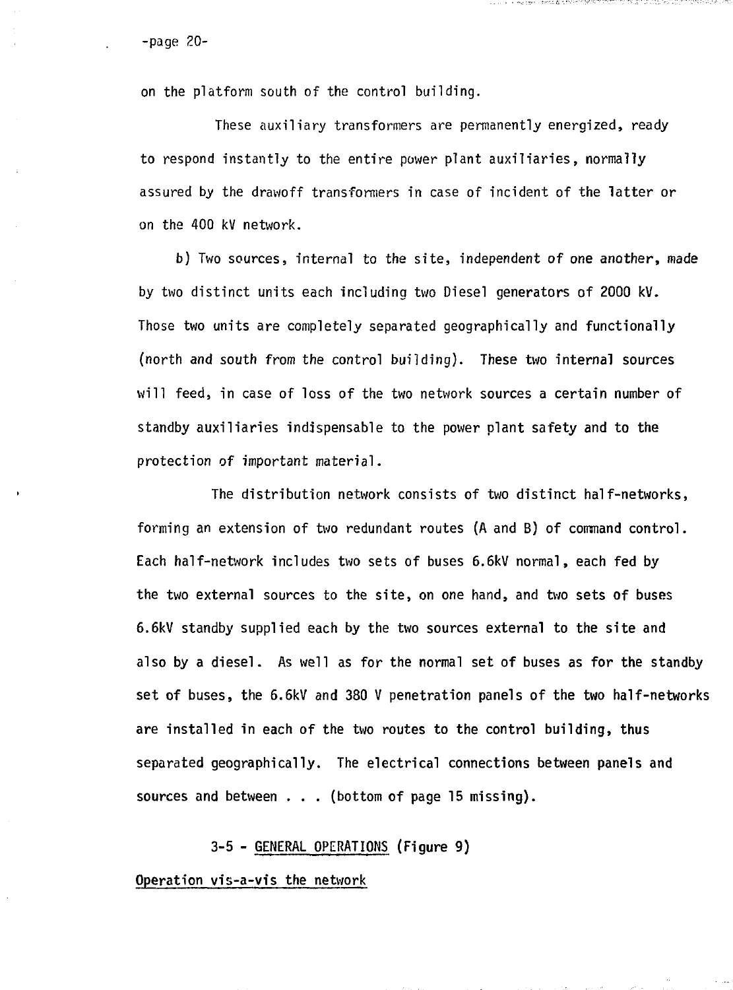on the platform south of the control building.

These auxiliary transformers are permanently energized, ready to respond instantly to the entire power plant auxiliaries, normally assured by the drawoff transformers in case of incident of the latter or on the 400 kV network.

그는 일을 만들어 보다 하루 이 후 지역에 들어가 있었다. 그는 아이들이 아니라 이 아이들이 그 그는 아이들이 아니라 이 사람이 없었다.

b) Two sources, internal to the site, independent of one another, made by two distinct units each including two Diesel generators of 2000 kV. Those two units are completely separated geographically and functionally (north and south from the control building). These two internal sources will feed, in case of loss of the two network sources a certain number of standby auxiliaries indispensable to the power plant safety and to the protection of important material.

The distribution network consists of two distinct half-networks, forming an extension of two redundant routes (A and B) of command control. Each half-network includes two sets of buses 6.6kV normal, each fed by the two external sources to the site, on one hand, and two sets of buses 6.6kV standby supplied each by the two sources external to the site and also by a diesel. As well as for the normal set of buses as for the standby set of buses, the 6.6kV and 380 V penetration panels of the two half-networks are installed in each of the two routes to the control building, **thus** separated geographically. The electrical connections between panels and sources and between  $\ldots$  (bottom of page 15 missing).

#### **3-5 - GENERAL OPERATIONS (Figure 9)**

**Operation vis-a-vis the network**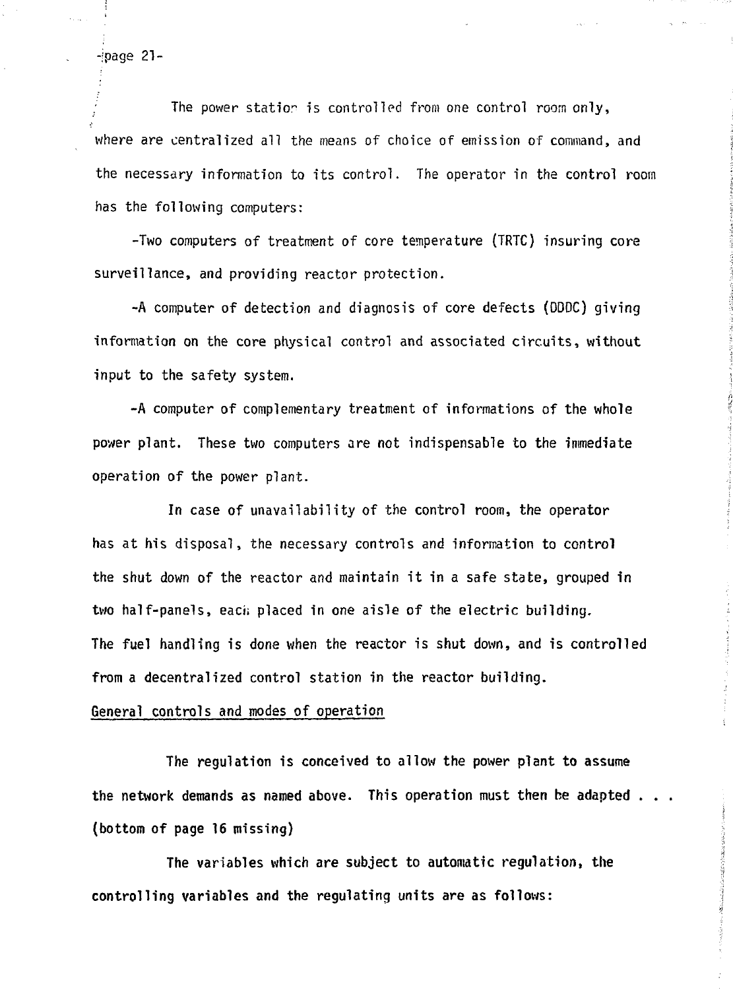-jpage 21-

The power station is controlled from one control room only, where are centralized all the means of choice of emission of command, and the necessary information to its control. The operator in the control room has the following computers:

-Two computers of treatment of core temperature (TRTC) insuring core surveillance, and providing reactor protection.

-A computer of detection and diagnosis of core defects (DDDC) giving information on the core physical control and associated circuits, without input to the safety system.

-A computer of complementary treatment of informations of the whole power plant. These two computers are not indispensable to the immediate operation of the power plant.

In case of unavailability of the control room, the operator has at his disposal, the necessary controls and information to control the shut down of the reactor and maintain it in a safe state, grouped in two half-panels, each placed in one aisle of the electric building. The fuel handling is done when the reactor is shut down, and is controlled from a decentralized control station in the reactor building.

#### General controls and modes of operation

The regulation is conceived to allow the power plant to assume the network demands as named above. This operation must then be adapted . . . (bottom of page 16 missing)

The variables which are subject to automatic regulation, the controlling variables and the regulating units are as follows: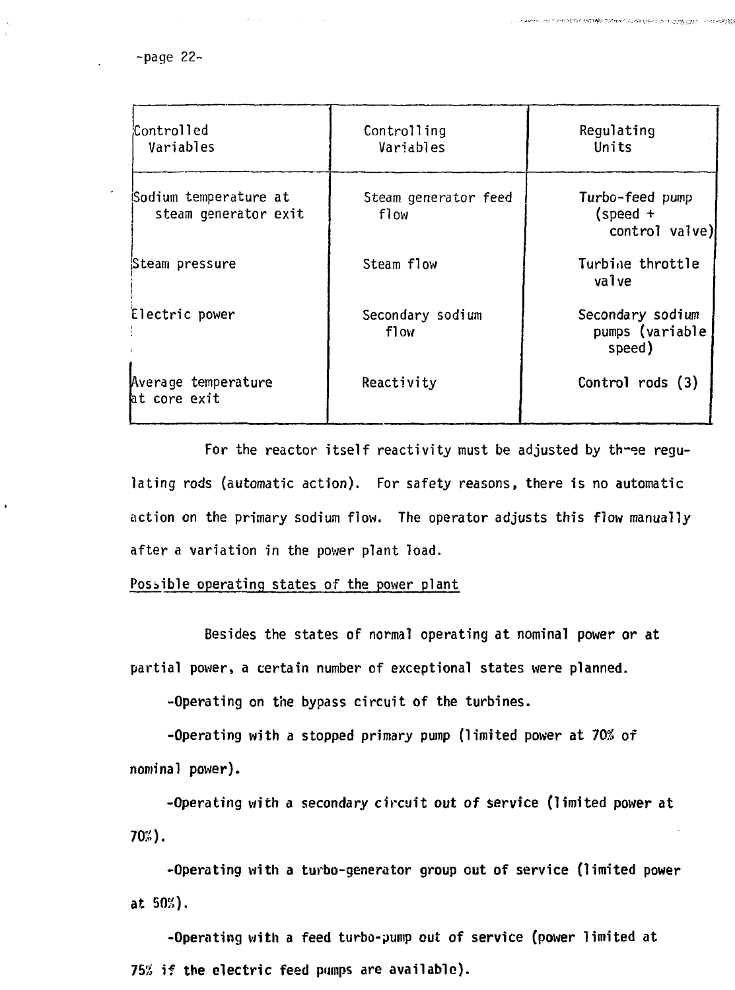-page 22-

| Controlled:<br>Variables                      | Controlling<br>Variables     | Regulating<br>Units                             |
|-----------------------------------------------|------------------------------|-------------------------------------------------|
|                                               |                              |                                                 |
| Sodium temperature at<br>steam generator exit | Steam generator feed<br>flow | Turbo-feed pump<br>$(speed +$<br>control valve) |
| Steam pressure                                | Steam flow                   | Turbine throttle<br>valve                       |
| Electric power                                | Secondary sodium<br>f1ow     | Secondary sodium<br>pumps (variable<br>speed)   |
| Average temperature<br>at core exit           | Reactivity                   | Control rods $(3)$                              |

end of the control of the new class that control the control of the control of the

For the reactor itself reactivity must be adjusted by three regulating rods (automatic action). For safety reasons, there is no automatic action on the primary sodium flow. The operator adjusts this flow manually after a variation in the power plant load.

### Possible operating states of the power plant

Besides the states of normal operating at nominal power or at partial power, a certain number of exceptional states were planned.

-Operating on the bypass circuit of the turbines.

-Operating with a stopped primary pump (limited power at 70% of nominal power).

-Operating with a secondary circuit out of service (limited power at 70%).

-Operating with a turbo-generator group out of service (limited power at 50%).

-Operating with a feed turbo-pump out of service (power limited at 75% if the electric feed pumps are available).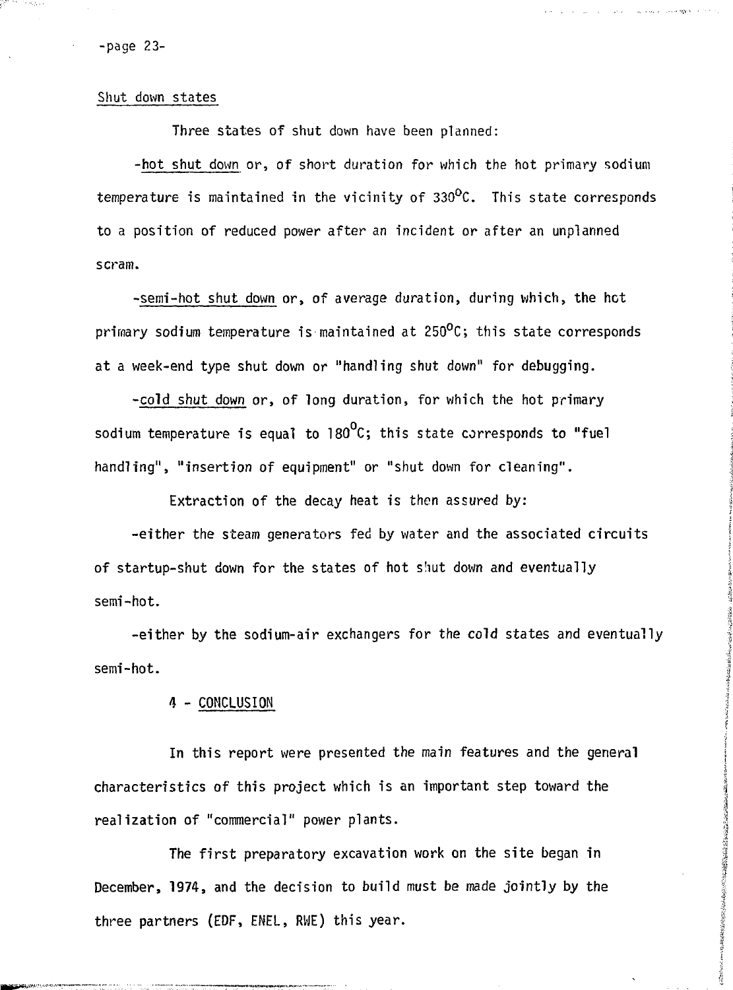-page 23-

Shut down states

Three states of shut down have been planned:

-hot shut down or, of short duration for which the hot primary sodium temperature is maintained in the vicinity of 330°C. This state corresponds to a position of reduced power after an incident or after an unplanned scram.

consequents in the

A TOWNSHIP TO THE TANK OF THE CONTRACTOR OF THE CONTRACTOR OF THE CONTRACTOR

-semi-hot shut down or, of average duration, during which, the hot primary sodium temperature is maintained at  $250^{\circ}$ C; this state corresponds at a week-end type shut down or "handling shut down" for debugging.

-cold shut down or, of long duration, for which the hot primary sodium temperature is equal to 180 $^{\circ}$ C; this state corresponds to "fuel handling", "insertion of equipment" or "shut down for cleaning".

Extraction of the decay heat is then assured by:

-either the steam generators fed by water and the associated circuits of startup-shut down for the states of hot shut down and eventually semi-hot.

-either by the sodium-air exchangers for the cold states and eventually semi-hot.

#### 4 - CONCLUSION

In this report were presented the main features and the general characteristics of this project which is an important step toward the realization of "commercial" power plants.

The first preparatory excavation work on the site began in December, 1974, and the decision to build must be made jointly by the three partners (EDF, ENEL, RWE) this year.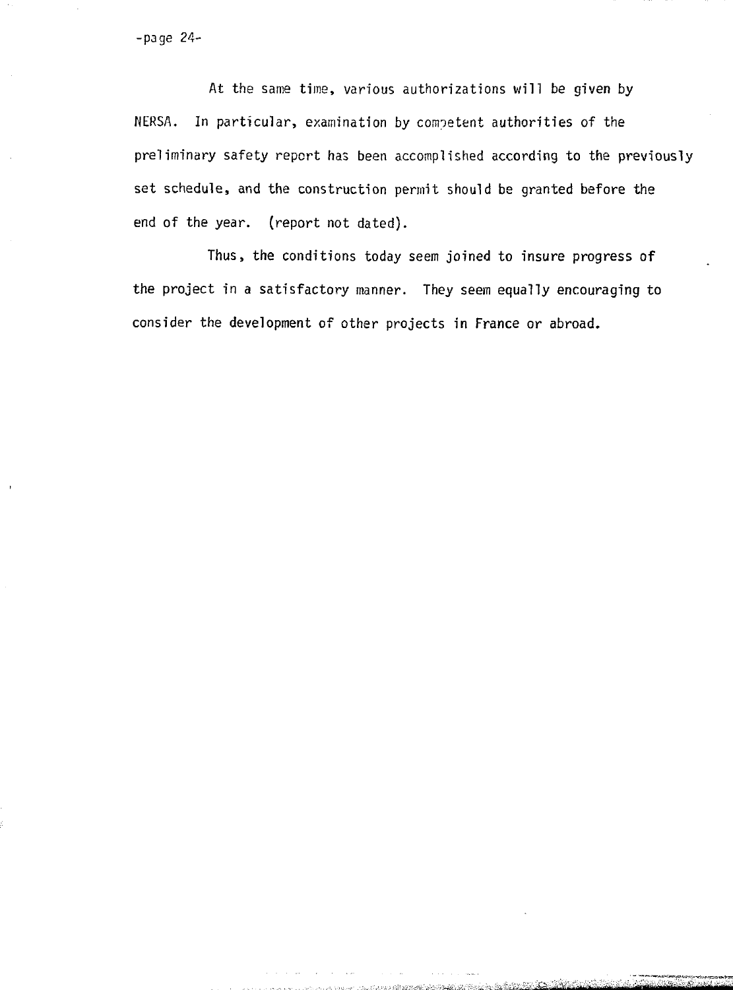-page 24-

At the same time, various authorizations will be given by NERSA. In particular, examination by competent authorities of the preliminary safety report has been accomplished according to the previously set schedule, and the construction permit should be granted before the end of the year, (report not dated).

Thus, the conditions today seem joined to insure progress of the project in a satisfactory manner. They seem equally encouraging to consider the development of other projects in France or abroad.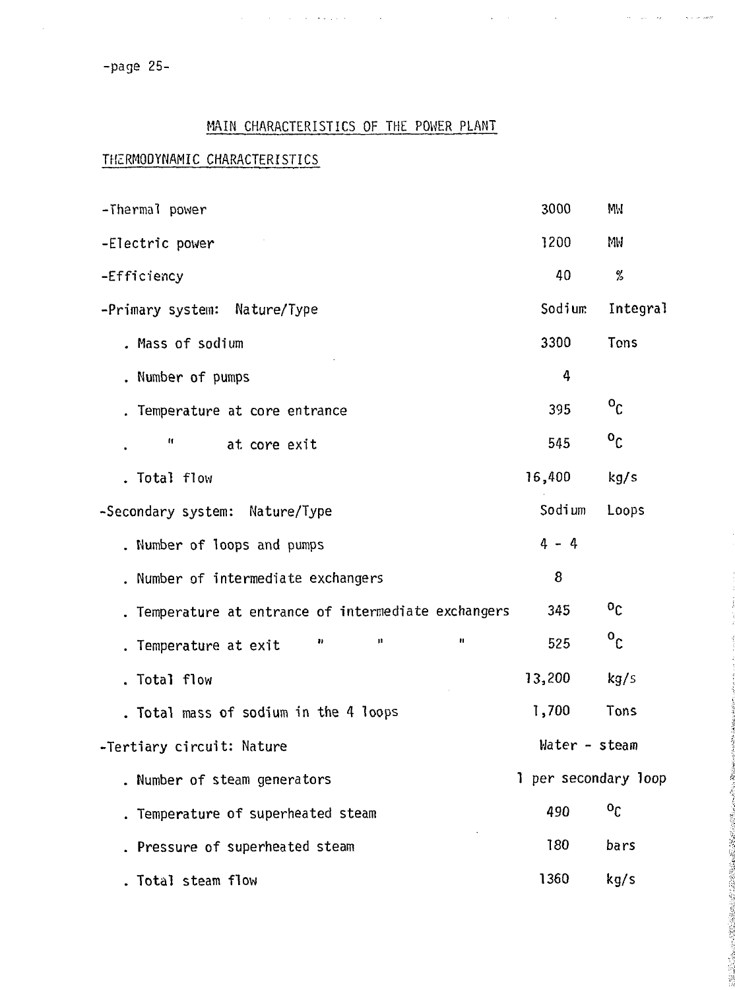-page 25-

## MAIN CHARACTERISTICS OF THE POWER PLANT

 $\sim$   $\sim$ 

 $\alpha$  , and  $\alpha$  , and  $\alpha$  , and  $\alpha$  , and  $\alpha$ 

 $\mathbf{q} = \mathbf{q} \times \mathbf{q}$  , where  $\mathbf{q} = \mathbf{q}$ 

 $\gamma_{\rm esc} = \gamma_{\rm B}$ 

 $\hat{\tau}_0$  is decreased.

SONE SPECIAL

## THZRMODYNAMIC CHARACTERISTICS

| -Thermal power                                     | 3000                 | MM           |
|----------------------------------------------------|----------------------|--------------|
| -Electric power                                    | 1200                 | MM           |
| -Efficiency                                        | 40                   | %            |
| -Primary system: Nature/Type                       | Sodium               | Integral     |
| . Mass of sodium                                   | 3300                 | Tons         |
| . Number of pumps                                  | 4                    |              |
| Temperature at core entrance                       | 395                  | $^{\circ}$ c |
| n<br>at core exit                                  | 545                  | $\circ_{c}$  |
| Total flow                                         | 16,400               | kg/s         |
| -Secondary system: Nature/Type                     | Sodium               | Loops        |
| . Number of loops and pumps                        | $4 - 4$              |              |
| . Number of intermediate exchangers                | 8                    |              |
| Temperature at entrance of intermediate exchangers | 345                  | $^{0}C$      |
| n<br>n<br>$\bullet$<br>Temperature at exit         | 525                  | $\circ_{c}$  |
| . Total flow                                       | 13,200               | kg/s         |
| . Total mass of sodium in the 4 loops              | 1,700                | Tons         |
| -Tertiary circuit: Nature                          | Water - steam        |              |
| . Number of steam generators                       | 1 per secondary loop |              |
| . Temperature of superheated steam                 | 490                  | $^{\circ}$   |
| Pressure of superheated steam                      | 180                  | bars         |
| Total steam flow                                   | 1360                 | kg/s         |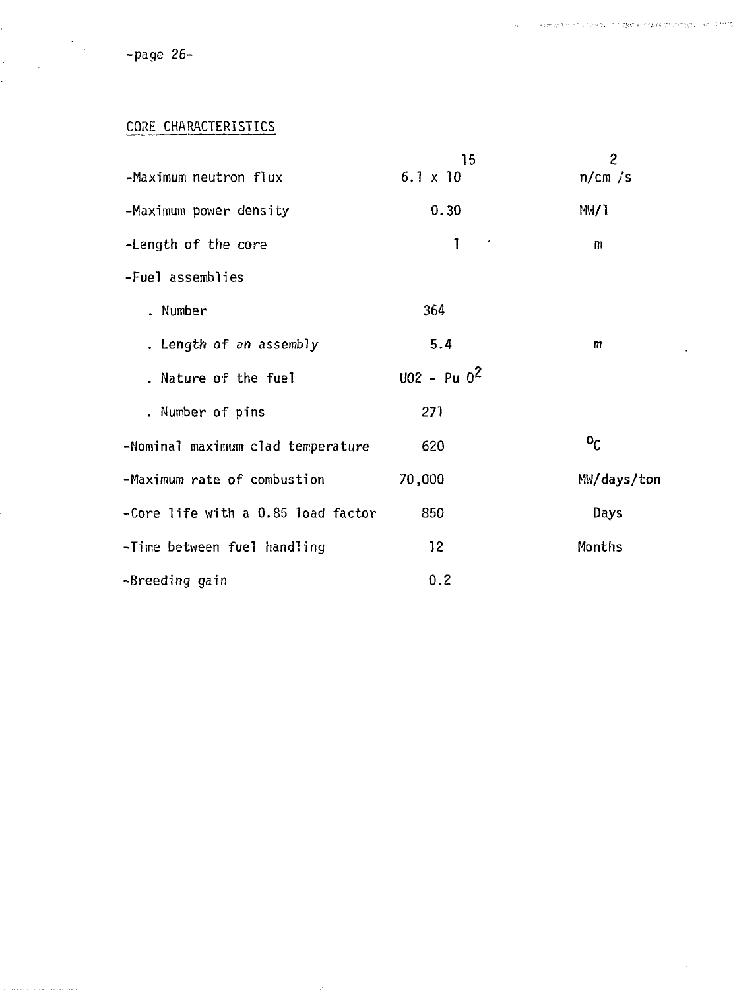-page 26-

CORE CHARACTERISTICS

|                                    | 15                         | 2                         |
|------------------------------------|----------------------------|---------------------------|
| -Maximum neutron flux              | $6.1 \times 10$            | n/cm/s                    |
| -Maximum power density             | 0.30                       | MW1                       |
| -Length of the core                | 1<br>$\boldsymbol{\gamma}$ | m                         |
| -Fuel assemblies                   |                            |                           |
| . Number                           | 364                        |                           |
| . Length of an assembly            | 5.4                        | т                         |
| . Nature of the fuel               | $002 - Pu 0^2$             |                           |
| . Number of pins                   | 271                        |                           |
| -Nominal maximum clad temperature  | 620                        | $\mathbf{p}^{\mathbf{O}}$ |
| -Maximum rate of combustion        | 70,000                     | MW/days/ton               |
| -Core life with a 0.85 load factor | 850                        | Days                      |
| -Time between fuel handling        | 12 <sub>2</sub>            | Months                    |
| -Breeding gain                     | 0.2                        |                           |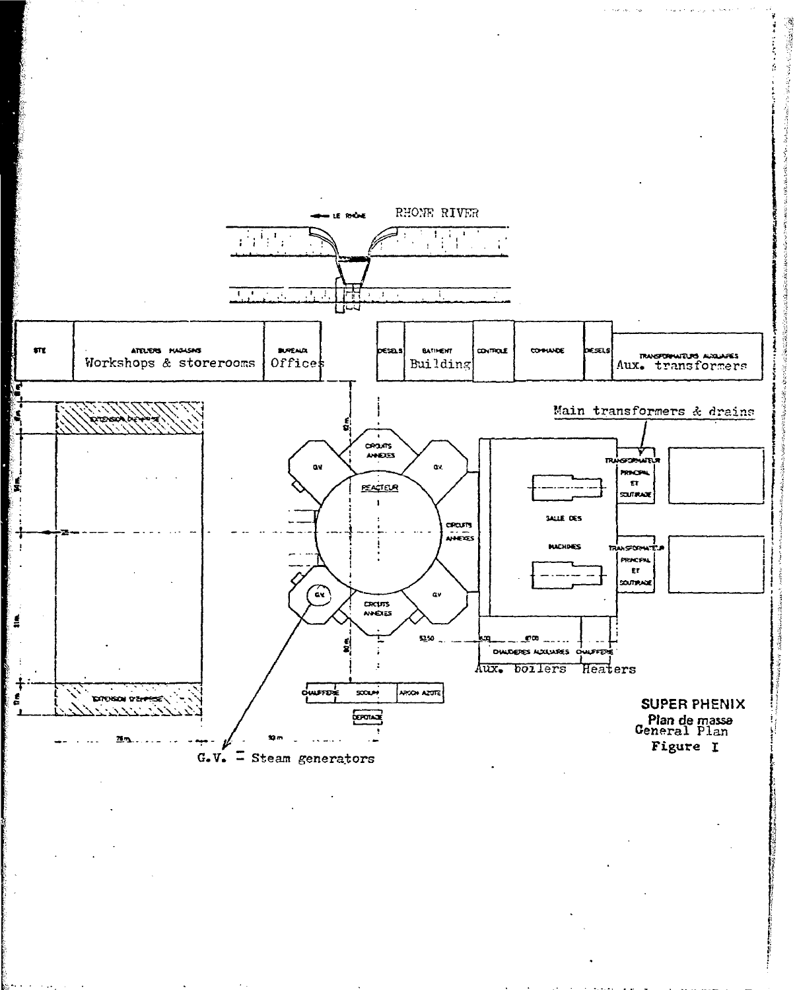

**ARTICLES**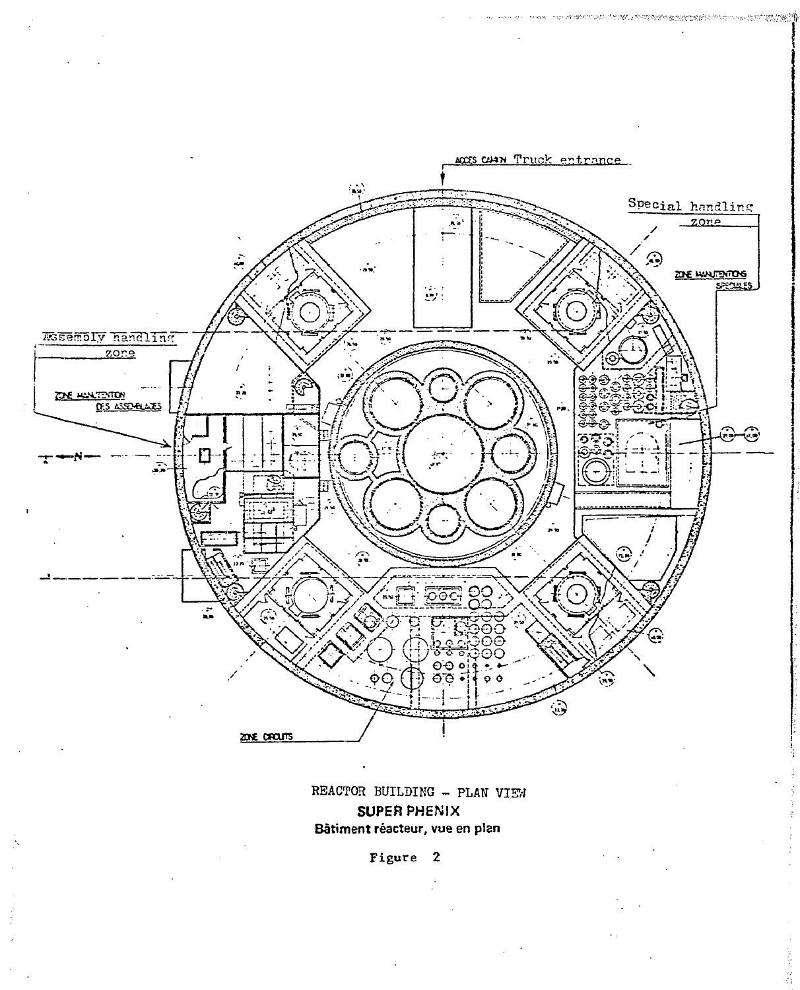

mentaturus deven biografica mentaturum museum program (

REACTOR BUILDING - PLAN VIEW SUPER PHENIX Bâtiment réacteur, vue en plan

Figure 2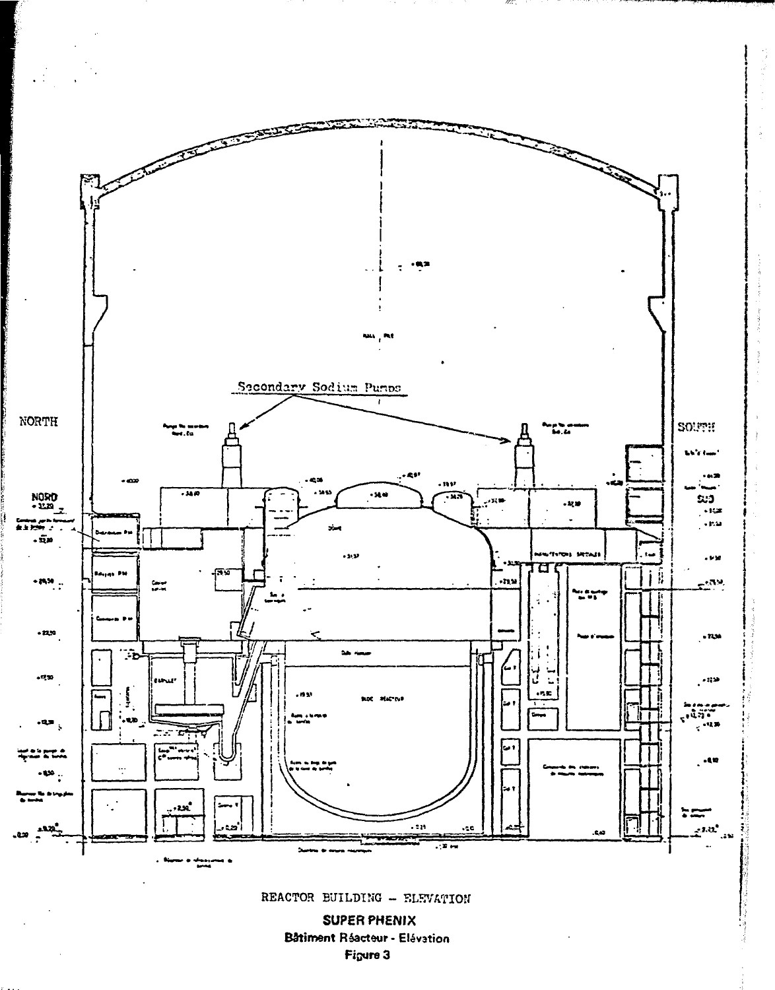

no

Bâtiment Réacteur - Elévation Figure 3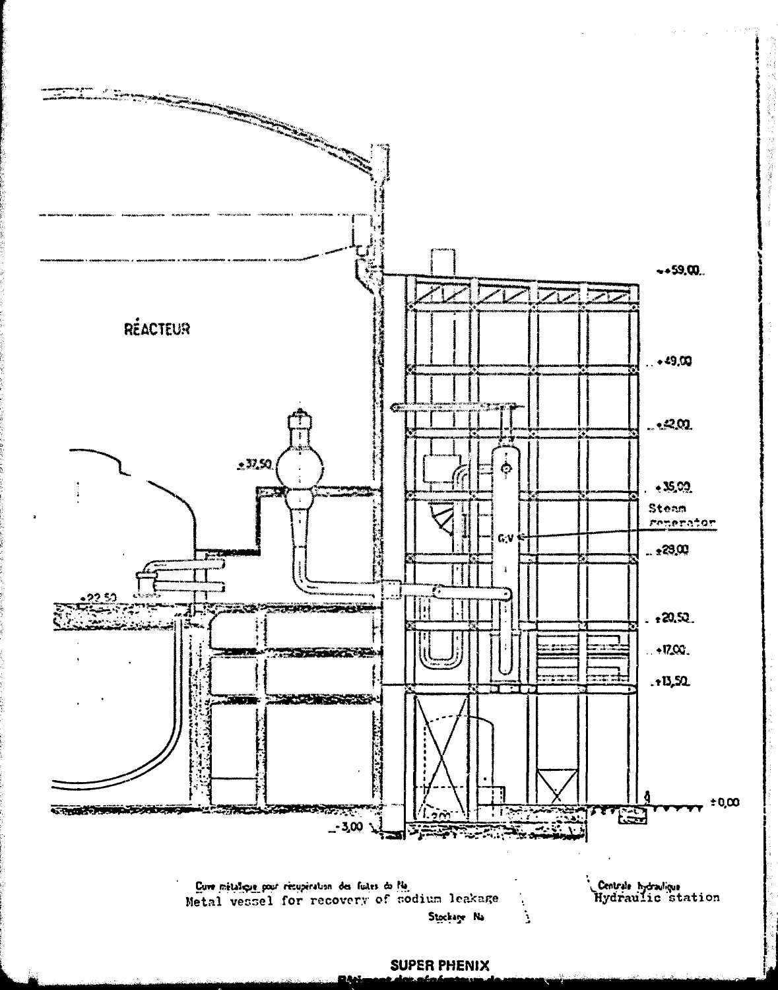

**SUPER PHENIX** 

18e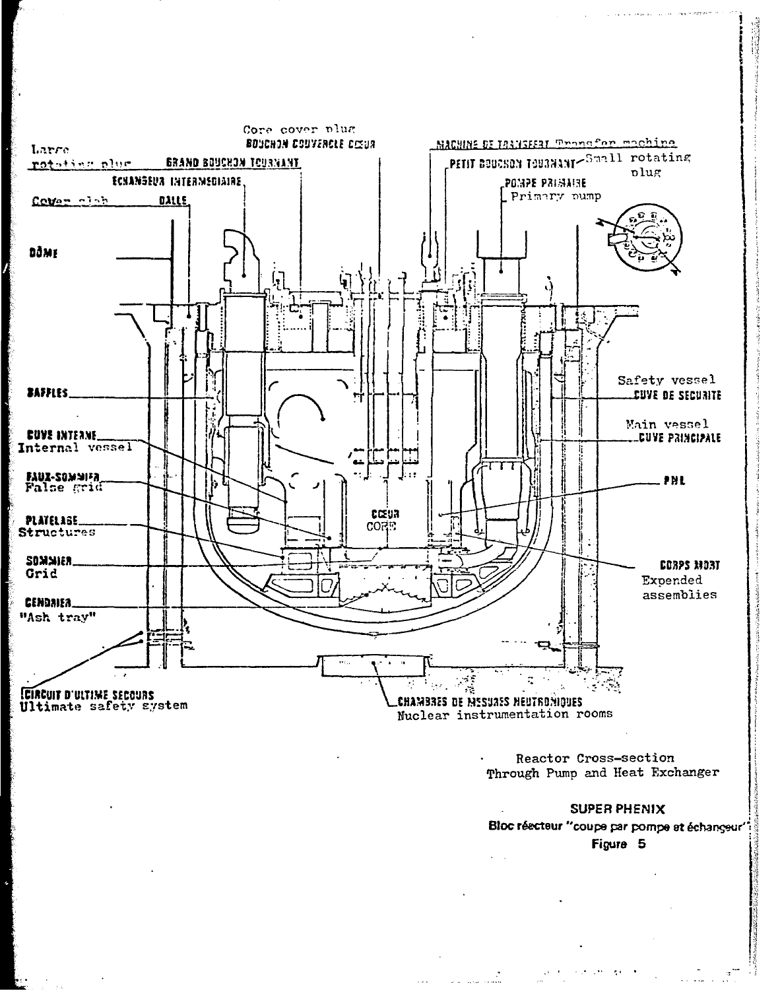

Reactor Cross-section Through Pump and Heat Exchanger

## **SUPER PHENIX**

Bloc réacteur "coupe par pompe et échangeur" Figure 5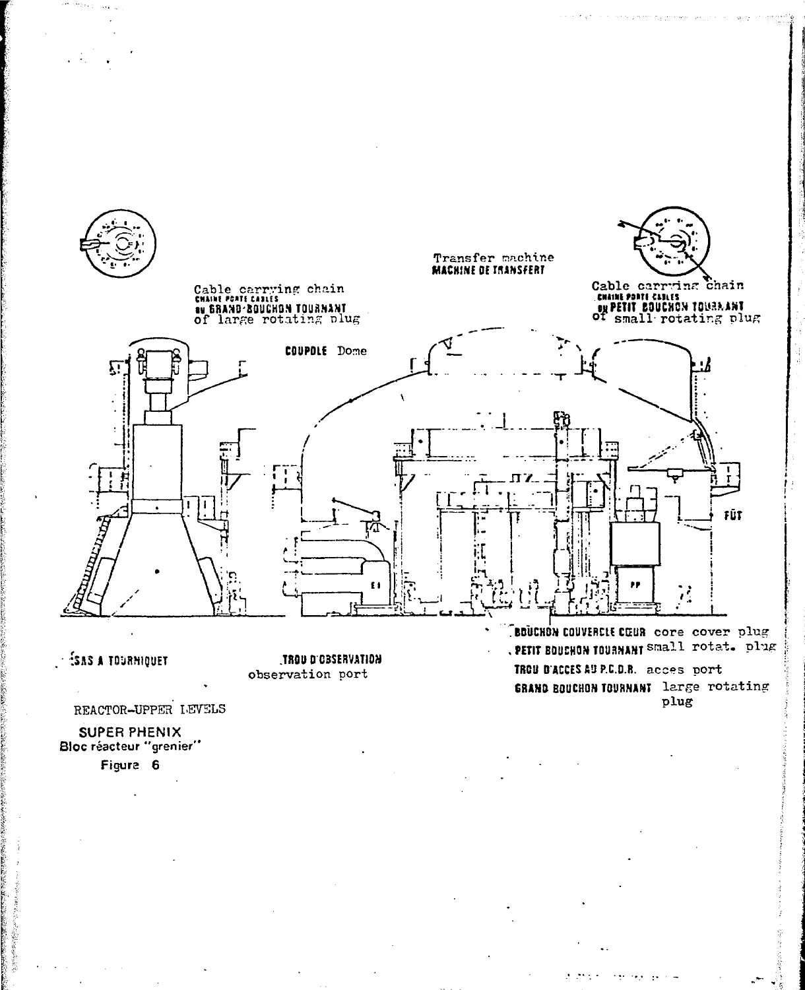

## **ESAS A TOURNIQUET**

**HAOU D'OBSERVATION** observation port

REACTOR-UPPER LEVELS

**SUPER PHENIX** Bloc réacteur "grenier" Figure 6

. PETIT BOUCHON TOURNANT SMALL rotat. plug TROU B'ACCES AU P.C.D.R. acces port **GRAND BOUCHON TOURNANT large rotating** plug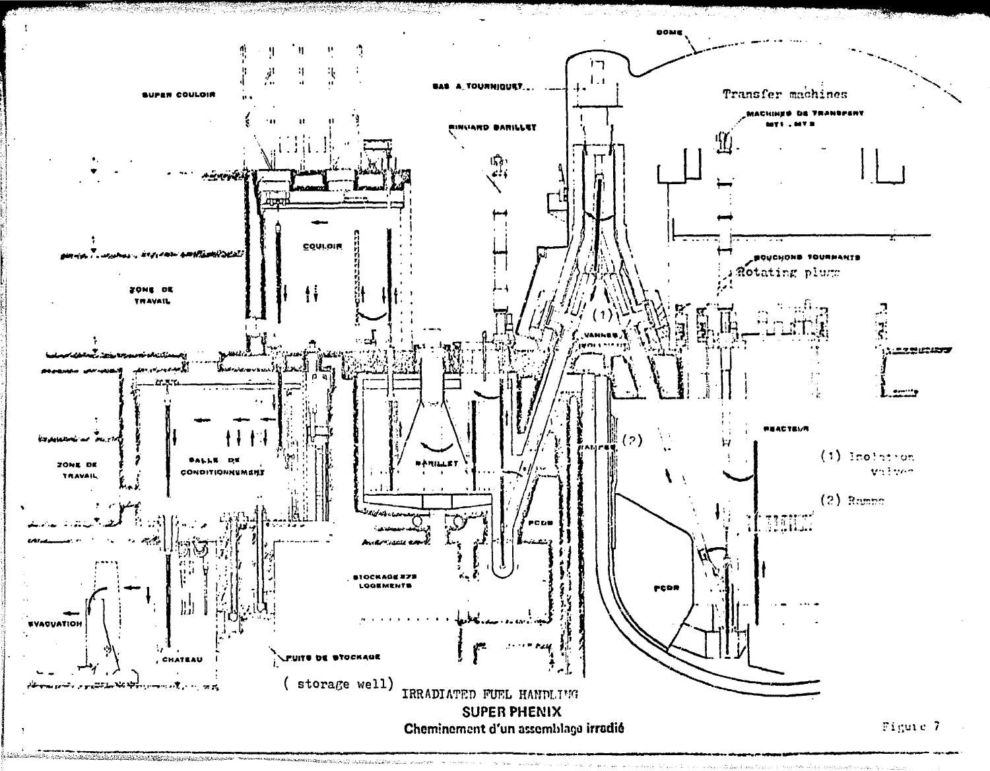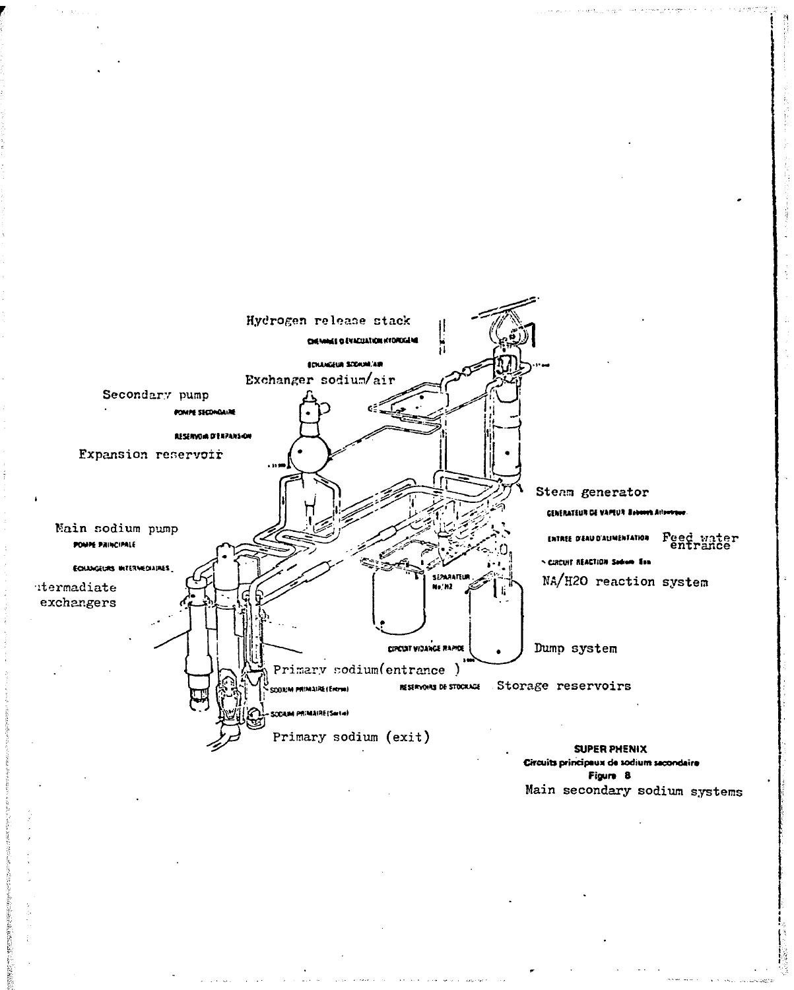